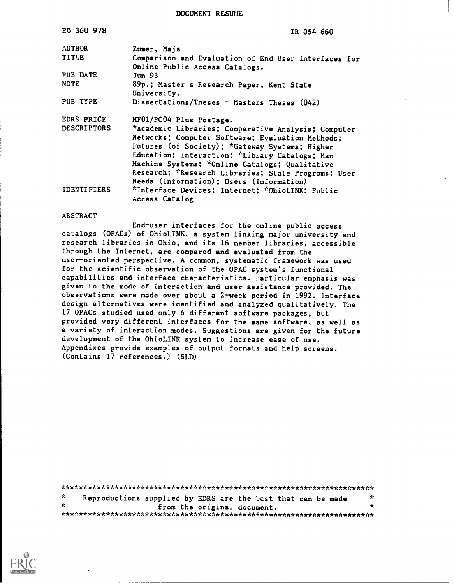DOCUMENT RESUHE

| ED 360 978         | IR 054 660                                                                             |
|--------------------|----------------------------------------------------------------------------------------|
| <b>AUTHOR</b>      | Zumer, Maja                                                                            |
| TITLE              | Comparison and Evaluation of End-User Interfaces for<br>Online Public Access Catalogs. |
| PUB DATE           | Jun <sub>93</sub>                                                                      |
| <b>NOTE</b>        | 89p.; Master's Research Paper, Kent State<br>University.                               |
| PUB TYPE           | Dissertations/Theses - Masters Theses (042)                                            |
| EDRS PRICE         | MF01/PC04 Plus Postage.                                                                |
| <b>DESCRIPTORS</b> | *Academic Libraries; Comparative Analysis; Computer                                    |
|                    | Networks; Computer Software; Evaluation Methods;                                       |
|                    | Futures (of Society); *Gateway Systems; Higher                                         |
|                    | Education; Interaction; *Library Catalogs; Man                                         |
|                    | Machine Systems; *Online Catalogs; Qualitative                                         |
|                    | Research; *Research Libraries; State Programs; User                                    |
|                    | Needs (Information); Users (Information)                                               |
| <b>IDENTIFIERS</b> | *Interface Devices; Internet; *OhioLINK; Public                                        |
|                    | Access Catalog                                                                         |

### ABSTRACT

End-user interfaces for the online public access catalogs (OPACs) of OhioLINK, a system linking major university and research libraries in Ohio, and its 16 member libraries, accessible through the Internet, are compared and evaluated from the user-oriented perspective. A common, systematic framework was used for the scientific observation of the OPAC system's functional capabilities and interface characteristics. Particular emphasis was given to the mode of interaction and user assistance provided. The observations were made over about a 2-week period in 1992. Interface design alternatives were identified and analyzed qualitatively. The 17 OPACs studied used only 6 different software packages, but provided very different interfaces for the same software, as well as a variety of interaction modes. Suggestions are given for the future development of the OhioLINK system to increase ease of use. Appendixes provide examples of output formats and help screens. (Contains 17 references.) (SLD)

| - sr |  | Reproductions supplied by EDRS are the best that can be made | ÷  |
|------|--|--------------------------------------------------------------|----|
| -sk  |  | from the original document.                                  | x. |
|      |  |                                                              |    |

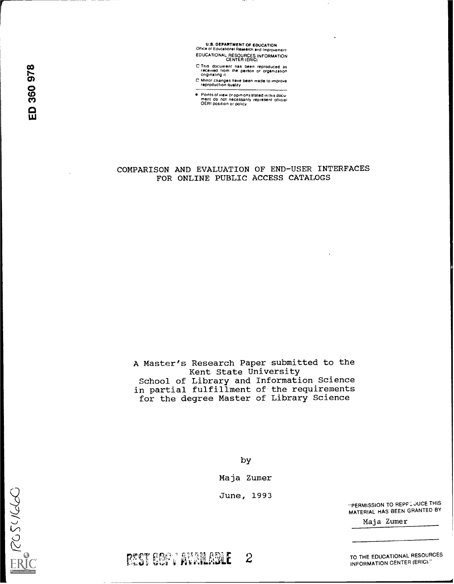U.S. DEPARTMENT OF EDUCATION<br>Office of Educational Research and Improvement EDUCATIONAL RESOURCES INFORMATION CENTER (ERIC)

CO C This document has been reproduced as<br>
received from the person or organization<br>
originating it

C Minor changes have been made to improve<br>
Consider the constant of the constant of the constant of the constant of the constant of the constant of the constant of the constant of the constant of the constant of the consta

● Points of view or opinions stated in this docu-<br>The ment do not necessanly represent of the necessand of the necessand of the necessand of the stated in this<br>OERI position or policy

### COMPARISON AND EVALUATION OF END-USER INTERFACES FOR ONLINE PUBLIC ACCESS CATALOGS

A Master's Research Paper submitted to the Kent State University School of Library and Information Science in partial fulfillment of the requirements for the degree Master of Library Science

by

Maja Zumer

June, 1993

rtst endt Avanlable 2

"PERMISSION TO REPP.LJUCE THIS MATERIAL HAS BEEN GRANTED BY

Maja Zumer

TO THE EDUCATIONAL RESOURCES INFORMATION CENTER (ERIC)."

ER (205460)

A.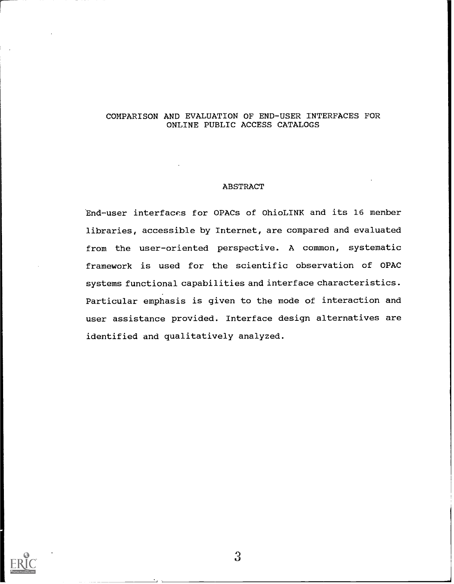### COMPARISON AND EVALUATION OF END-USER INTERFACES FOR ONLINE PUBLIC ACCESS CATALOGS

### ABSTRACT

End-user interfaces for OPACs of OhioLINK and its 16 menber libraries, accessible by Internet, are compared and evaluated from the user-oriented perspective. A common, systematic framework is used for the scientific observation of OPAC systems functional capabilities and interface characteristics. Particular emphasis is given to the mode of interaction and user assistance provided. Interface design alternatives are identified and qualitatively analyzed.

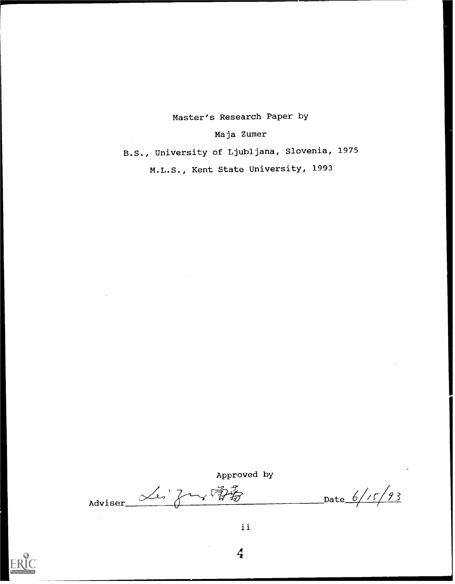# Master's Research Paper by

Maja Zumer

B.S., University of Ljubljana, Slovenia, 1975

M.L.S., Kent State University, 1993

Approved by

Adviser Les Just  $\overrightarrow{p}$ 



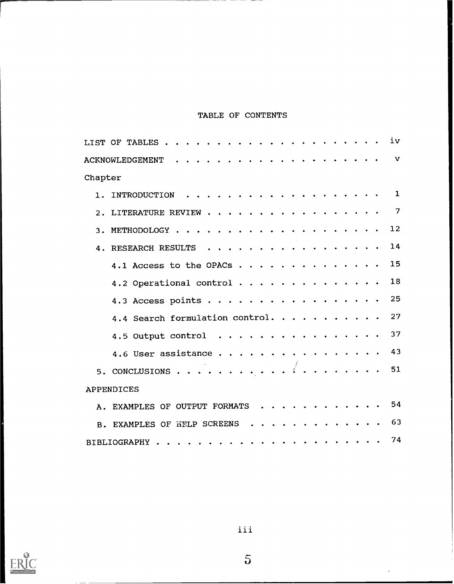# TABLE OF CONTENTS

|         | LIST OF TABLES $\cdots$          |  |  |  |  |  |  |  |  | iv |
|---------|----------------------------------|--|--|--|--|--|--|--|--|----|
|         |                                  |  |  |  |  |  |  |  |  | v  |
| Chapter |                                  |  |  |  |  |  |  |  |  |    |
| $1$ .   |                                  |  |  |  |  |  |  |  |  | 1  |
|         | 2. LITERATURE REVIEW             |  |  |  |  |  |  |  |  | 7  |
|         |                                  |  |  |  |  |  |  |  |  | 12 |
| 4.      | RESEARCH RESULTS                 |  |  |  |  |  |  |  |  | 14 |
|         | 4.1 Access to the OPACs $\cdots$ |  |  |  |  |  |  |  |  | 15 |
|         | 4.2 Operational control          |  |  |  |  |  |  |  |  | 18 |
|         | 4.3 Access points                |  |  |  |  |  |  |  |  | 25 |
|         | 4.4 Search formulation control.  |  |  |  |  |  |  |  |  | 27 |
|         | 4.5 Output control $\ldots$      |  |  |  |  |  |  |  |  | 37 |
|         | 4.6 User assistance              |  |  |  |  |  |  |  |  | 43 |
|         | 5. CONCLUSIONS $\langle$         |  |  |  |  |  |  |  |  | 51 |
|         | <b>APPENDICES</b>                |  |  |  |  |  |  |  |  |    |
|         | A. EXAMPLES OF OUTPUT FORMATS 54 |  |  |  |  |  |  |  |  |    |
|         | B. EXAMPLES OF HELP SCREENS      |  |  |  |  |  |  |  |  | 63 |
|         |                                  |  |  |  |  |  |  |  |  | 74 |



iii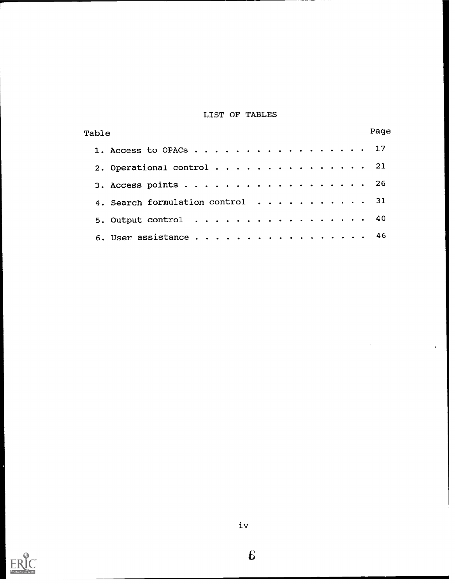## LIST OF TABLES

| Table                            | Page |  |
|----------------------------------|------|--|
| 1. Access to OPACs 17            |      |  |
| 2. Operational control 21        |      |  |
| 3. Access points 26              |      |  |
| 4. Search formulation control 31 |      |  |
| 5. Output control $\ldots$ , 40  |      |  |
| 6. User assistance 46            |      |  |



 $\bf{6}$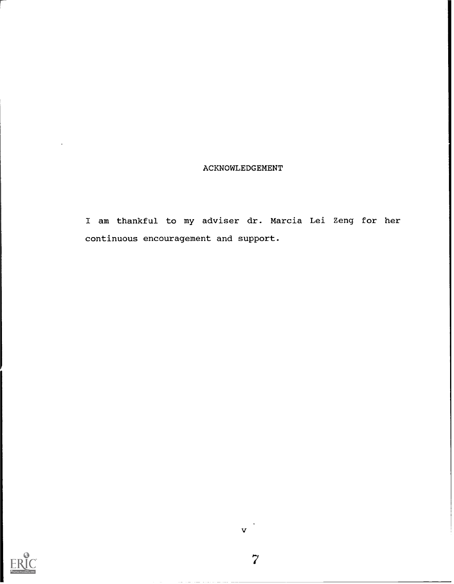### ACKNOWLEDGEMENT

I am thankful to my adviser dr. Marcia Lei Zeng for her continuous encouragement and support.

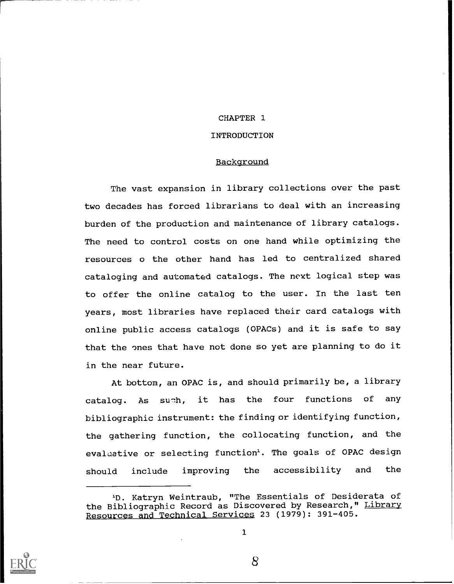### CHAPTER 1

### INTRODUCTION

### Background

The vast expansion in library collections over the past two decades has forced librarians to deal with an increasing burden of the production and maintenance of library catalogs. The need to control costs on one hand while optimizing the resources o the other hand has led to centralized shared cataloging and automated catalogs. The next logical step was to offer the online catalog to the user. In the last ten years, most libraries have replaced their card catalogs with online public access catalogs (OPACs) and it is safe to say that the ones that have not done so yet are planning to do it in the near future.

At bottom, an OPAC is, and should primarily be, a library catalog. As such, it has the four functions of any bibliographic instrument: the finding or identifying function, the gathering function, the collocating function, and the evaluative or selecting function<sup>1</sup>. The goals of OPAC design should include improving the accessibility and the



<sup>&</sup>lt;sup>1</sup>D. Katryn Weintraub, "The Essentials of Desiderata of the Bibliographic Record as Discovered by Research," Library Resources and Technical Services 23 (1979): 391-405.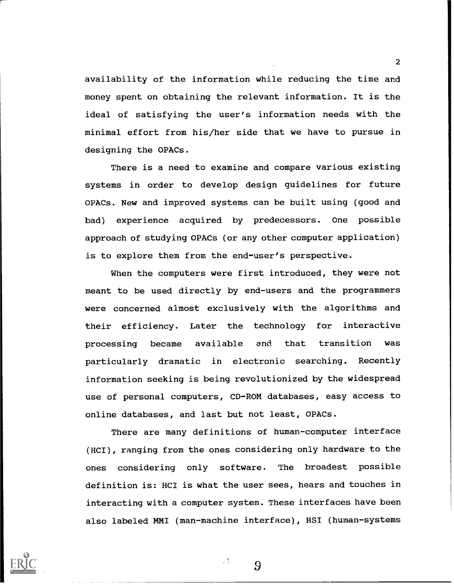availability of the information while reducing the time and money spent on obtaining the relevant information. It is the ideal of satisfying the user's information needs with the minimal effort from his/her side that we have to pursue in designing the OPACs.

There is a need to examine and compare various existing systems in order to develop design guidelines for future OPACs. New and improved systems can be built using (good and bad) experience acquired by predecessors. One possible approach of studying OPACs (or any other computer application) is to explore them from the end-user's perspective.

When the computers were first introduced, they were not meant to be used directly by end-users and the programmers were concerned almost exclusively with the algorithms and their efficiency. Later the technology for interactive processing became available and that transition was particularly dramatic in electronic searching. Recently information seeking is being revolutionized by the widespread use of personal computers, CD-ROM databases, easy access to online databases, and last but not least, OPACs.

There are many definitions of human-computer interface (HCI), ranging from the ones considering only hardware to the ones considering only software. The broadest possible definition is: HCI is what the user sees, hears and touches in interacting with a computer system. These interfaces have been also labeled MMI (man-machine interface), HSI (human-systems



2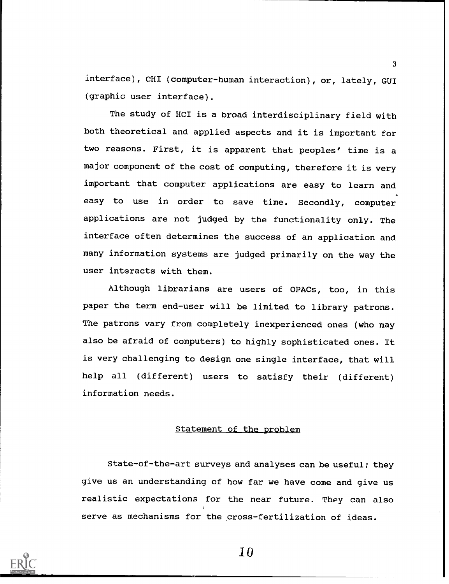interface), CHI (computer-human interaction), or, lately, GUI (graphic user interface).

The study of HCI is a broad interdisciplinary field with both theoretical and applied aspects and it is important for two reasons. First, it is apparent that peoples' time is a major component of the cost of computing, therefore it is very important that computer applications are easy to learn and easy to use in order to save time. Secondly, computer applications are not judged by the functionality only. The interface often determines the success of an application and many information systems are judged primarily on the way the user interacts with them.

Although librarians are users of OPACs, too, in this paper the term end-user will be limited to library patrons. The patrons vary from completely inexperienced ones (who may also be afraid of computers) to highly sophisticated ones. It is very challenging to design one single interface, that will help all (different) users to satisfy their (different) information needs.

### Statement of the problem

State-of-the-art surveys and analyses can be useful; they give us an understanding of how far we have come and give us realistic expectations for the near future. They can also serve as mechanisms for the cross-fertilization of ideas.



1 0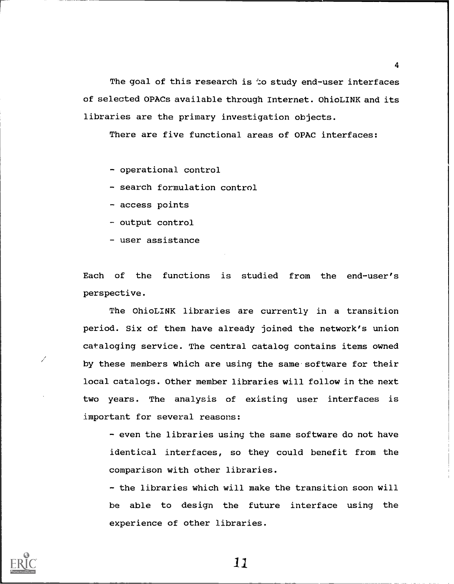The goal of this research is to study end-user interfaces of selected OPACs available through Internet. OhioLINK and its libraries are the primary investigation objects.

There are five functional areas of OPAC interfaces:

- operational control

- search formulation control

- access points

- output control

user assistance

Each of the functions is studied from the end-user's perspective.

The OhioLINK libraries are currently in a transition period. Six of them have already joined the network's union cataloging service. The central catalog contains items owned by these members which are using the same software for their local catalogs. Other member libraries will follow in the next two years. The analysis of existing user interfaces is important for several reasons:

- even the libraries using the same software do not have identical interfaces, so they could benefit from the comparison with other libraries.

- the libraries which will make the transition soon will be able to design the future interface using the experience of other libraries.



11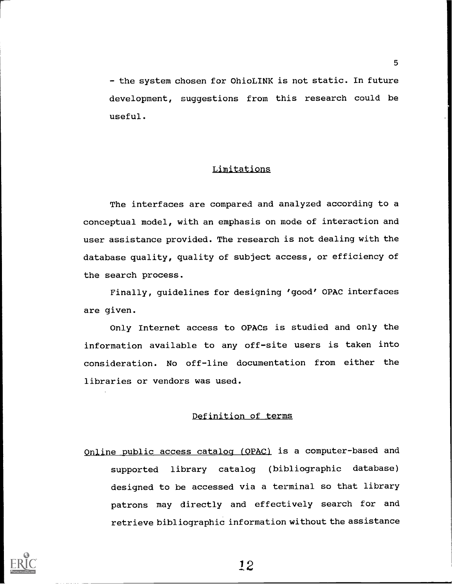- the system chosen for OhioLINK is not static. In future development, suggestions from this research could be useful.

### Limitations

The interfaces are compared and analyzed according to a conceptual model, with an emphasis on mode of interaction and user assistance provided. The research is not dealing with the database quality, quality of subject access, or efficiency of the search process.

Finally, guidelines for designing 'good' OPAC interfaces are given.

Only Internet access to OPACs is studied and only the information available to any off-site users is taken into consideration. No off-line documentation from either the libraries or vendors was used.

### Definition of terms

Online public access catalog (OPAC) is a computer-based and supported library catalog (bibliographic database) designed to be accessed via a terminal so that library patrons may directly and effectively search for and retrieve bibliographic information without the assistance

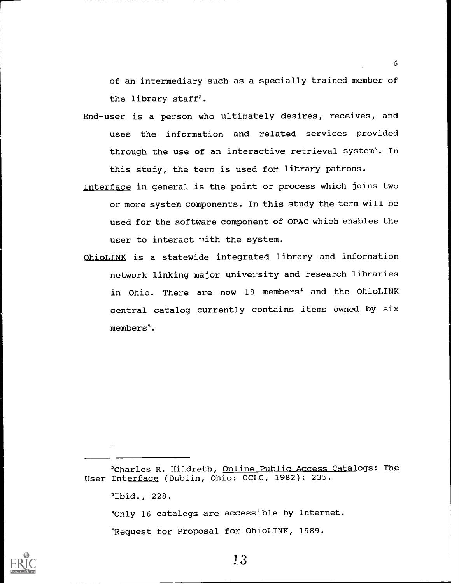of an intermediary such as a specially trained member of the library staff<sup>2</sup>.

6

- End-user is a person who ultimately desires, receives, and uses the information and related services provided through the use of an interactive retrieval system<sup>3</sup>. In this study, the term is used for library patrons.
- Interface in general is the point or process which joins two or more system components. In this study the term will be used for the software component of OPAC which enables the user to interact with the system.
- OhioLINK is a statewide integrated library and information network linking major university and research libraries in Ohio. There are now 18 members<sup>4</sup> and the OhioLINK central catalog currently contains items owned by six members'.

<sup>3</sup>Ibid., 228.

40n1y 16 catalogs are accessible by Internet. 'Request for Proposal for OhioLINK, 1989.



<sup>2</sup>Charles R. Hildreth, Online Public Access Catalogs: The User Interface (Dublin, Ohio: OCLC, 1982): 235.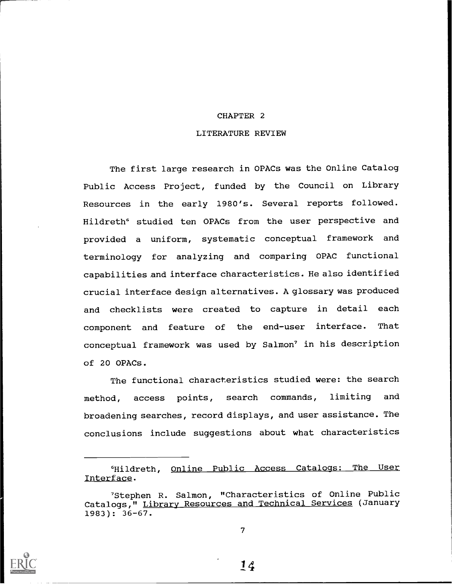### CHAPTER 2

### LITERATURE REVIEW

The first large research in OPACs was the Online Catalog Public Access Project, funded by the Council on Library Resources in the early 1980's. Several reports followed. Hildreth<sup>6</sup> studied ten OPACs from the user perspective and provided a uniform, systematic conceptual framework and terminology for analyzing and comparing OPAC functional capabilities and interface characteristics. He also identified crucial interface design alternatives. A glossary was produced and checklists were created to capture in detail each component and feature of the end-user interface. That conceptual framework was used by Salmon' in his description of 20 OPACs.

The functional characteristics studied were: the search method, access points, search commands, limiting and broadening searches, record displays, and user assistance. The conclusions include suggestions about what characteristics

6Hildreth, Online Public Access Catalogs: The User Interface.



<sup>&#</sup>x27;Stephen R. Salmon, "Characteristics of Online Public Catalogs," Library Resources and Technical Services (January 1983): 36-67.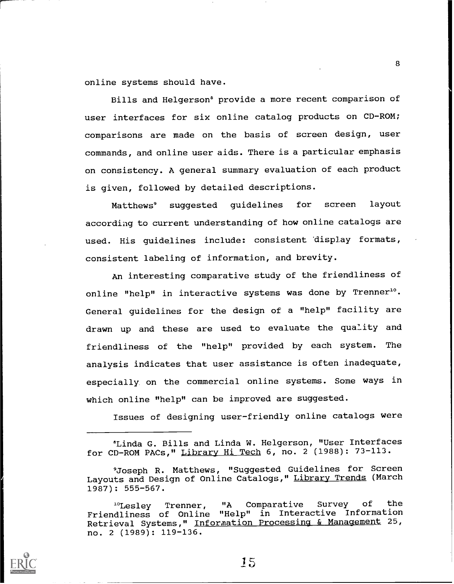online systems should have.

Bills and Helgerson<sup>®</sup> provide a more recent comparison of user interfaces for six online catalog products on CD-ROM; comparisons are made on the basis of screen design, user commands, and online user aids. There is a particular emphasis on consistency. A general summary evaluation of each product is given, followed by detailed descriptions.

Matthews9 suggested guidelines for screen layout according to current understanding of how online catalogs are used. His guidelines include: consistent 'display formats, consistent labeling of information, and brevity.

An interesting comparative study of the friendliness of online "help" in interactive systems was done by Trenner<sup>10</sup>. General guidelines for the design of a "help" facility are drawn up and these are used to evaluate the quality and friendliness of the "help" provided by each system. The analysis indicates that user assistance is often inadequate, especially, on the commercial online systems. Some ways in which online "help" can be improved are suggested.

Issues of designing user-friendly online catalogs were



15

<sup>8</sup>Linda G. Bills and Linda W. Helgerson, "User Interfaces for CD-ROM PACs," Library Hi Tech 6, no. 2 (1988): 73-113.

<sup>&#</sup>x27;Joseph R. Matthews, "Suggested Guidelines for Screen Layouts and Design of Online Catalogs," Library Trends (March 1987): 555-567.

<sup>&</sup>quot;Lesley Trenner, "A Comparative Survey of the Friendliness of Online "Help" in Interactive Information Retrieval Systems," Information Processing & Management 25, no. 2 (1989): 119-136.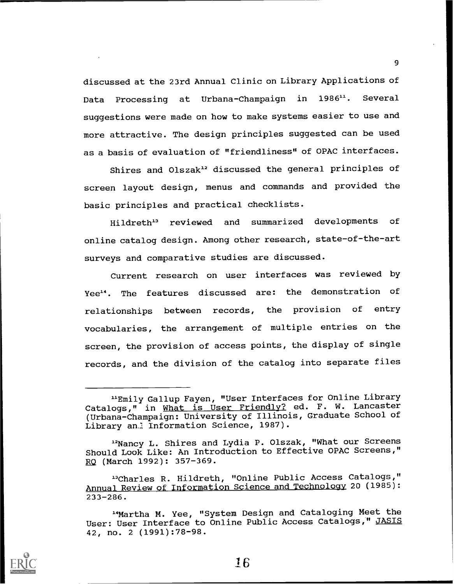discussed at the 23rd Annual Clinic on Library Applications of Data Processing at Urbana-Champaign in 1986<sup>11</sup>. Several suggestions were made on how to make systems easier to use and more attractive. The design principles suggested can be used as a basis of evaluation of "friendliness" of OPAC interfaces.

9

Shires and Olszak" discussed the general principles of screen layout design, menus and commands and provided the basic principles and practical checklists.

Hildreth" reviewed and summarized developments of online catalog design. Among other research, state-of-the-art surveys and comparative studies are discussed.

Current research on user interfaces was reviewed by Yee<sup>14</sup>. The features discussed are: the demonstration of relationships between records, the provision of entry vocabularies, the arrangement of multiple entries on the screen, the provision of access points, the display of single records, and the division of the catalog into separate files



<sup>&</sup>quot;Emily Gallup Fayen, "User Interfaces for Online Library Catalogs," in What is User Friendly? ed. F. W. Lancaster (Urbana-Champaign: University of Illinois, Graduate School of Library an: Information Science, 1987).

<sup>12</sup>Nancy L. Shires and Lydia P. Olszak, "What our Screens Should Look Like: An Introduction to Effective OPAC Screens," RQ (March 1992): 357-369.

<sup>&</sup>quot;Charles R. Hildreth, "Online Public Access Catalogs," Annual Review of Information Science and Technology 20 (1985): 233-286.

<sup>&</sup>quot;Martha M. Yee, "System Design and Cataloging Meet the User: User Interface to Online Public Access Catalogs," JASIS 42, no. 2 (1991):78-98.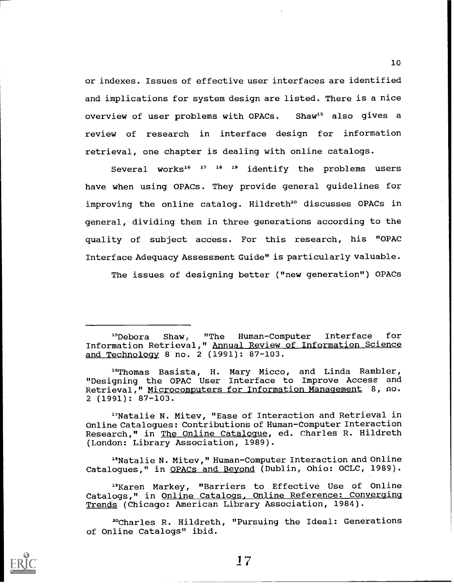or indexes. Issues of effective user interfaces are identified and implications for system design are listed. There is a nice overview of user problems with OPACs. Shaw<sup>15</sup> also gives a review of research in interface design for information retrieval, one chapter is dealing with online catalogs.

Several works<sup>16 17</sup> <sup>18</sup> <sup>19</sup> identify the problems users have when using OPACs. They provide general guidelines for improving the online catalog. Hildreth<sup>20</sup> discusses OPACs in general, dividing them in three generations according to the quality of subject access. For this research, his "OPAC Interface Adequacy Assessment Guide" is particularly valuable.

The issues of designing better ("new generation") OPACs

<sup>17</sup>Natalie N. Mitev, "Ease of Interaction and Retrieval in Online Catalogues: Contributions of Human-Computer Interaction Research," in The Online Catalogue, ed. Charles R. Hildreth (London: Library Association, 1989).

"Natalie N. Mitev," Human-Computer Interaction and Online Catalogues," in OPACs and Beyond (Dublin, Ohio: OCLC, 1989).

"Karen Markey, "Barriers to Effective Use of Online Catalogs," in <u>Online Catalogs, Online Reference: Converging</u> Trends (Chicago: American Library Association, 1984).

20Charles R. Hildreth, "Pursuing the Ideal: Generations of Online Catalogs" ibid.



<sup>&</sup>quot;Debora Shaw, "The Human-Computer Interface for Information Retrieval," Annual Review of Information Science and Technology 8 no. 2 (1991): 87-103.

<sup>&</sup>lt;sup>16</sup>Thomas Basista, H. Mary Micco, and Linda Rambler, "Designing the OPAC User Interface to Improve Access and Retrieval," Microcomputers for Information Management 8, no. 2 (1991): 87-103.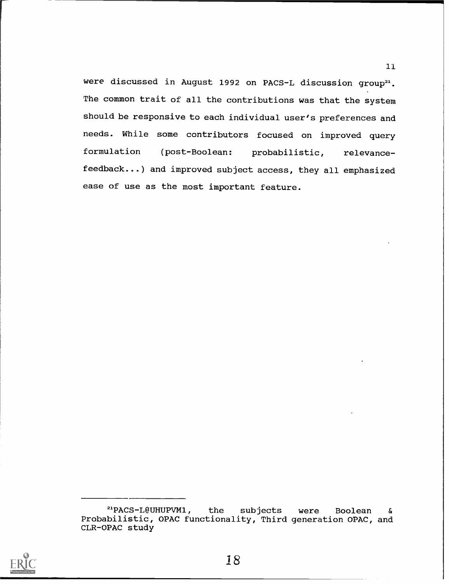were discussed in August 1992 on PACS-L discussion group<sup>21</sup>. The common trait of all the contributions was that the system should be responsive to each individual user's preferences and needs. While some contributors focused on improved query formulation (post-Boolean: probabilistic, relevancefeedback...) and improved subject access, they all emphasized ease of use as the most important feature.



<sup>21</sup>PACS-L@UHUPVM1, the subjects were Boolean & Probabilistic, OPAC functionality, Third generation OPAC, and CLR-OPAC study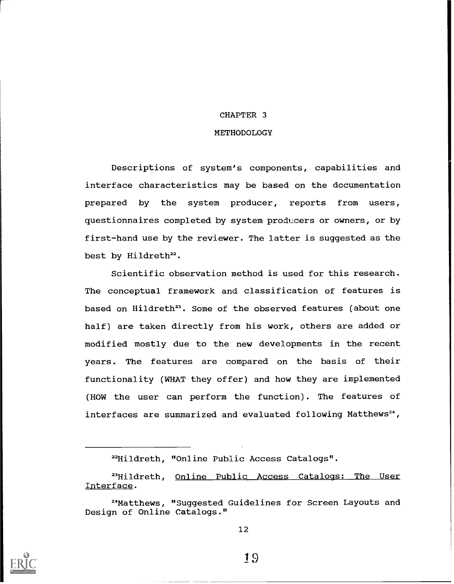### CHAPTER 3

### **METHODOLOGY**

Descriptions of system's components, capabilities and interface characteristics may be based on the documentation prepared by the system producer, reports from users, questionnaires completed by system producers or owners, or by first-hand use by the reviewer. The latter is suggested as the best by Hildreth<sup>22</sup>.

Scientific observation method is used for this research. The conceptual framework and classification of features is based on Hildreth<sup>23</sup>. Some of the observed features (about one half) are taken directly from his work, others are added or modified mostly due to the new developments in the recent years. The features are compared on the basis of their functionality (WHAT they offer) and how they are implemented (HOW the user can perform the function). The features of interfaces are summarized and evaluated following Matthews<sup>24</sup>,

<sup>23</sup>Hildreth, Online Public Access Catalogs: The User Interface.



<sup>&</sup>lt;sup>22</sup>Hildreth, "Online Public Access Catalogs".

<sup>24</sup>Matthews, "Suggested Guidelines for Screen Layouts and Design of Online Catalogs."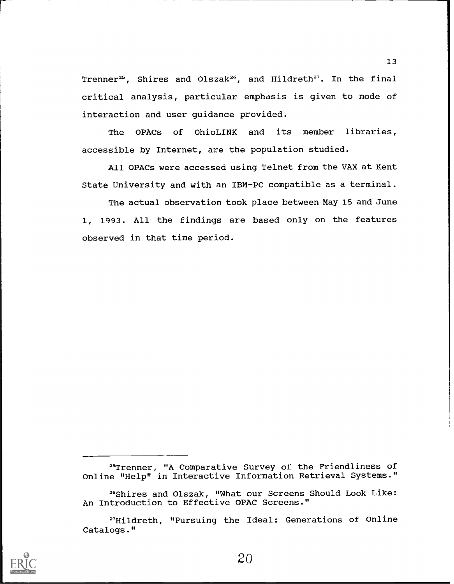Trenner<sup>25</sup>, Shires and Olszak<sup>26</sup>, and Hildreth<sup>27</sup>. In the final critical analysis, particular emphasis is given to mode of interaction and user guidance provided.

The OPACs of OhioLINK and its member libraries, accessible by Internet, are the population studied.

All OPACs were accessed using Telnet from the VAX at Kent State University and with an IBM-PC compatible as a terminal.

The actual observation took place between May 15 and June 1, 1993. All the findings are based only on the features observed in that time period.



<sup>25</sup>Trenner, "A Comparative Survey of the Friendliness of Online "Help" in Interactive Information Retrieval Systems."

<sup>26</sup>Shires and Olszak, "What our Screens Should Look Like: An Introduction to Effective OPAC Screens."

<sup>27</sup>Hildreth, "Pursuing the Ideal: Generations of Online Catalogs."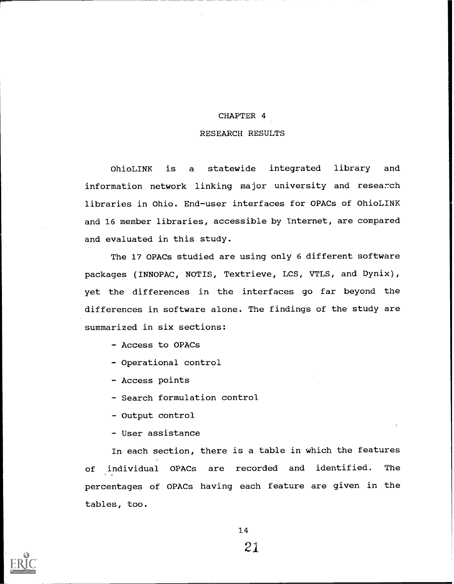### CHAPTER 4

### RESEARCH RESULTS

OhioLINK is a statewide integrated library and information network linking major university and research libraries in Ohio. End-user interfaces for OPACs of OhioLINK and 16 member libraries, accessible by Internet, are compared and evaluated in this study.

The 17 OPACs studied are using only 6 different software packages (INNOPAC, NOTIS, Textrieve, LCS, VTLS, and Dynix), yet the differences in the interfaces go far beyond the differences in software alone. The findings of the study are summarized in six sections:

- Access to OPACs
- Operational control
- Access points
- Search formulation control
- Output control
- User assistance

In each section, there is a table in which the features of individual OPACs are recorded and identified. The percentages of OPACs having each feature are given in the tables, too.



21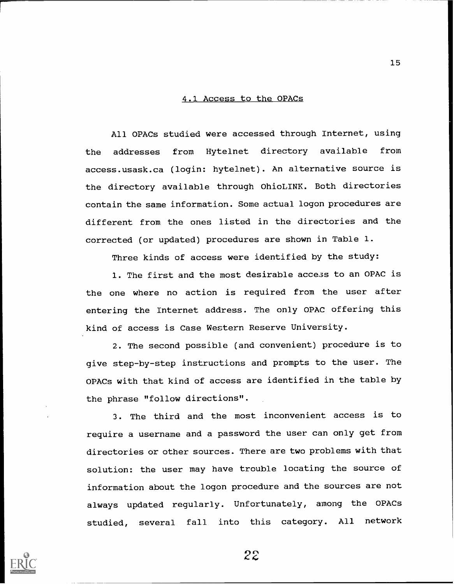### 4.1 Access to the OPACs

All OPACs studied were accessed through Internet, using the addresses from Hytelnet directory available from access.usask.ca (login: hytelnet). An alternative source is the directory available through OhioLINK. Both directories contain the same information. Some actual logon procedures are different from the ones listed in the directories and the corrected (or updated) procedures are shown in Table 1.

Three kinds of access were identified by the study:

1. The first and the most desirable access to an OPAC is the one where no action is required from the user after entering the Internet address. The only OPAC offering this kind of access is Case Western Reserve University.

2. The second possible (and convenient) procedure is to give step-by-step instructions and prompts to the user. The OPACs with that kind of access are identified in the table by the phrase "follow directions".

3. The third and the most inconvenient access is to require a username and a password the user can only get from directories or other sources. There are two problems with that solution: the user may have trouble locating the source of information about the logon procedure and the sources are not always updated regularly. Unfortunately, among the OPACs studied, several fall into this category. All network



22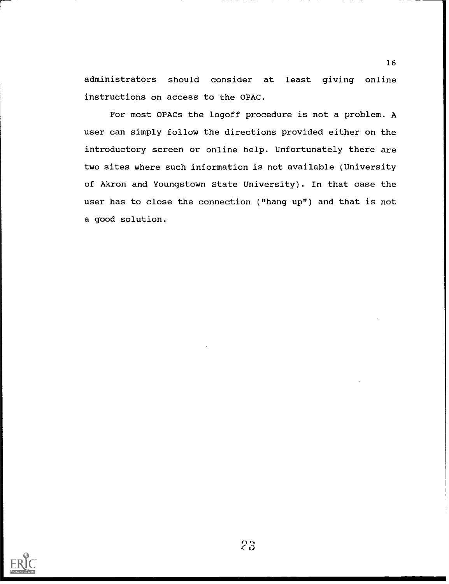administrators should consider at least giving online instructions on access to the OPAC.

For most OPACs the logoff procedure is not a problem. A user can simply follow the directions provided either on the introductory screen or online help. Unfortunately there are two sites where such information is not available (University of Akron and Youngstown State University). In that case the user has to close the connection ("hang up") and that is not a good solution.

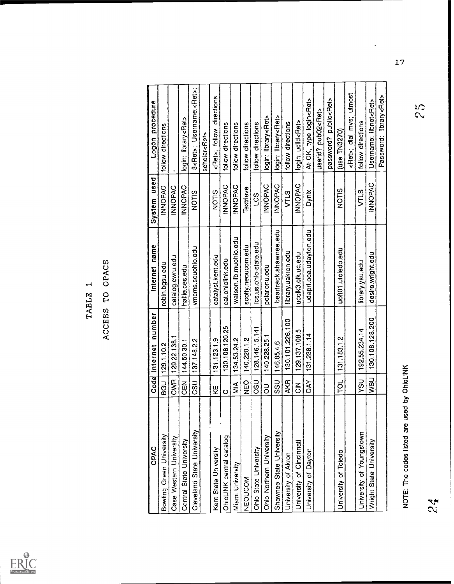

# TABLE 1<br>ACCESS TO OPACS

| INNOPAC<br><b>UNOPAC</b><br><b>INNOPAC</b><br><b>UNOPAC</b><br><b>INOPAC</b><br><b>UNOPAC</b><br>INNOPAC<br><b>UNOPAC</b><br><b>UNOPAC</b><br>Textrieve<br>NOTIS<br>VTLS<br>Dynix<br>NOTIS<br><b>VTLS</b><br>NOTIS<br>LCS<br>beartrack.shawnee.edu<br>udapri oca udayion edu<br>watson.lib.muohio.edu<br>Ics.us.ohio-state.edu<br>scotty.neoucom.edu<br>vmcms.scuohlo.edu<br>uott01.utoledo.edu<br>library.uakron.edu<br>desire.wright.edu<br>ucolk3.olk.uc.edu<br>catalyst.kent.edu<br>catalog.cwru.edu<br>cat.ohiolink.edu<br>library.ysu.edu<br>robin.bgsu.edu<br>polar.onu.edu<br>hallie.ces.edu<br>130.108.128.200<br>130.101.226.100<br>130.108.120.25<br>128.146.15.141<br>192.55.234.14<br>129.137.108.5<br>131 238 1.14<br>140.228.25.1<br>129.22.138.1<br>131.183.1.2<br>140.220.1.2<br>131.123.1.9<br>134.53.24.2<br>137.148.2.2<br>144.50.30.1<br>146.85.4.6<br>129.1.10.2<br>NOTE: The codes listed are used by OhioLINK<br><b>CWR</b><br>USN<br>hSh<br><b>AKR</b><br><b>USO</b><br><b>DAN</b><br>SSU<br>λλ<br>p<br>BGU<br><b>NBO</b><br><b>USO</b><br>$\frac{z}{\tilde{c}}$<br>$\frac{4}{2}$<br>$\overline{5}$<br>ΚĒ<br>$\circ$<br>I<br>Cleveland State University<br>Shawnee State University<br>University of Youngstown<br>Bowling Green University<br>Ohio Northern University<br>OhioLINK central catalog<br>Case Western University<br>Central State University<br>Wright State University<br>University of Cincinnati<br>Ohio State University<br>Kent State University<br>University of Dayton<br><b>Jniversity of Toledo</b><br>University of Akron<br>Miami University<br>NEOUCOM | OPAC | Code Internet number | Internet name | System used | Logon procedure                      |  |
|-----------------------------------------------------------------------------------------------------------------------------------------------------------------------------------------------------------------------------------------------------------------------------------------------------------------------------------------------------------------------------------------------------------------------------------------------------------------------------------------------------------------------------------------------------------------------------------------------------------------------------------------------------------------------------------------------------------------------------------------------------------------------------------------------------------------------------------------------------------------------------------------------------------------------------------------------------------------------------------------------------------------------------------------------------------------------------------------------------------------------------------------------------------------------------------------------------------------------------------------------------------------------------------------------------------------------------------------------------------------------------------------------------------------------------------------------------------------------------------------------------------------------------------------------------------------------------------------------------------|------|----------------------|---------------|-------------|--------------------------------------|--|
|                                                                                                                                                                                                                                                                                                                                                                                                                                                                                                                                                                                                                                                                                                                                                                                                                                                                                                                                                                                                                                                                                                                                                                                                                                                                                                                                                                                                                                                                                                                                                                                                           |      |                      |               |             | follow directions                    |  |
| مي<br>ج                                                                                                                                                                                                                                                                                                                                                                                                                                                                                                                                                                                                                                                                                                                                                                                                                                                                                                                                                                                                                                                                                                                                                                                                                                                                                                                                                                                                                                                                                                                                                                                                   |      |                      |               |             |                                      |  |
|                                                                                                                                                                                                                                                                                                                                                                                                                                                                                                                                                                                                                                                                                                                                                                                                                                                                                                                                                                                                                                                                                                                                                                                                                                                                                                                                                                                                                                                                                                                                                                                                           |      |                      |               |             | login: library <ret></ret>           |  |
|                                                                                                                                                                                                                                                                                                                                                                                                                                                                                                                                                                                                                                                                                                                                                                                                                                                                                                                                                                                                                                                                                                                                                                                                                                                                                                                                                                                                                                                                                                                                                                                                           |      |                      |               |             | 8 <ret>; Username:<ret>;</ret></ret> |  |
|                                                                                                                                                                                                                                                                                                                                                                                                                                                                                                                                                                                                                                                                                                                                                                                                                                                                                                                                                                                                                                                                                                                                                                                                                                                                                                                                                                                                                                                                                                                                                                                                           |      |                      |               |             | scholar <ret></ret>                  |  |
|                                                                                                                                                                                                                                                                                                                                                                                                                                                                                                                                                                                                                                                                                                                                                                                                                                                                                                                                                                                                                                                                                                                                                                                                                                                                                                                                                                                                                                                                                                                                                                                                           |      |                      |               |             | <ret>; follow directions</ret>       |  |
|                                                                                                                                                                                                                                                                                                                                                                                                                                                                                                                                                                                                                                                                                                                                                                                                                                                                                                                                                                                                                                                                                                                                                                                                                                                                                                                                                                                                                                                                                                                                                                                                           |      |                      |               |             | follow directions                    |  |
|                                                                                                                                                                                                                                                                                                                                                                                                                                                                                                                                                                                                                                                                                                                                                                                                                                                                                                                                                                                                                                                                                                                                                                                                                                                                                                                                                                                                                                                                                                                                                                                                           |      |                      |               |             | follow directions                    |  |
|                                                                                                                                                                                                                                                                                                                                                                                                                                                                                                                                                                                                                                                                                                                                                                                                                                                                                                                                                                                                                                                                                                                                                                                                                                                                                                                                                                                                                                                                                                                                                                                                           |      |                      |               |             | follow directions                    |  |
|                                                                                                                                                                                                                                                                                                                                                                                                                                                                                                                                                                                                                                                                                                                                                                                                                                                                                                                                                                                                                                                                                                                                                                                                                                                                                                                                                                                                                                                                                                                                                                                                           |      |                      |               |             | follow directions                    |  |
|                                                                                                                                                                                                                                                                                                                                                                                                                                                                                                                                                                                                                                                                                                                                                                                                                                                                                                                                                                                                                                                                                                                                                                                                                                                                                                                                                                                                                                                                                                                                                                                                           |      |                      |               |             | login: library <ret></ret>           |  |
|                                                                                                                                                                                                                                                                                                                                                                                                                                                                                                                                                                                                                                                                                                                                                                                                                                                                                                                                                                                                                                                                                                                                                                                                                                                                                                                                                                                                                                                                                                                                                                                                           |      |                      |               |             | login: library <ret></ret>           |  |
|                                                                                                                                                                                                                                                                                                                                                                                                                                                                                                                                                                                                                                                                                                                                                                                                                                                                                                                                                                                                                                                                                                                                                                                                                                                                                                                                                                                                                                                                                                                                                                                                           |      |                      |               |             | follow directions                    |  |
|                                                                                                                                                                                                                                                                                                                                                                                                                                                                                                                                                                                                                                                                                                                                                                                                                                                                                                                                                                                                                                                                                                                                                                                                                                                                                                                                                                                                                                                                                                                                                                                                           |      |                      |               |             | login: ucild <ret></ret>             |  |
|                                                                                                                                                                                                                                                                                                                                                                                                                                                                                                                                                                                                                                                                                                                                                                                                                                                                                                                                                                                                                                                                                                                                                                                                                                                                                                                                                                                                                                                                                                                                                                                                           |      |                      |               |             | At OK, type login <ret></ret>        |  |
|                                                                                                                                                                                                                                                                                                                                                                                                                                                                                                                                                                                                                                                                                                                                                                                                                                                                                                                                                                                                                                                                                                                                                                                                                                                                                                                                                                                                                                                                                                                                                                                                           |      |                      |               |             | userid? pub02 <ret></ret>            |  |
|                                                                                                                                                                                                                                                                                                                                                                                                                                                                                                                                                                                                                                                                                                                                                                                                                                                                                                                                                                                                                                                                                                                                                                                                                                                                                                                                                                                                                                                                                                                                                                                                           |      |                      |               |             | password? public <ret></ret>         |  |
|                                                                                                                                                                                                                                                                                                                                                                                                                                                                                                                                                                                                                                                                                                                                                                                                                                                                                                                                                                                                                                                                                                                                                                                                                                                                                                                                                                                                                                                                                                                                                                                                           |      |                      |               |             | (use TN3270)                         |  |
|                                                                                                                                                                                                                                                                                                                                                                                                                                                                                                                                                                                                                                                                                                                                                                                                                                                                                                                                                                                                                                                                                                                                                                                                                                                                                                                                                                                                                                                                                                                                                                                                           |      |                      |               |             | <ret>; dial mvs; utmost</ret>        |  |
|                                                                                                                                                                                                                                                                                                                                                                                                                                                                                                                                                                                                                                                                                                                                                                                                                                                                                                                                                                                                                                                                                                                                                                                                                                                                                                                                                                                                                                                                                                                                                                                                           |      |                      |               |             | tollow directions                    |  |
|                                                                                                                                                                                                                                                                                                                                                                                                                                                                                                                                                                                                                                                                                                                                                                                                                                                                                                                                                                                                                                                                                                                                                                                                                                                                                                                                                                                                                                                                                                                                                                                                           |      |                      |               |             | Username: libnet <ret></ret>         |  |
|                                                                                                                                                                                                                                                                                                                                                                                                                                                                                                                                                                                                                                                                                                                                                                                                                                                                                                                                                                                                                                                                                                                                                                                                                                                                                                                                                                                                                                                                                                                                                                                                           |      |                      |               |             | Password: library <ret></ret>        |  |
|                                                                                                                                                                                                                                                                                                                                                                                                                                                                                                                                                                                                                                                                                                                                                                                                                                                                                                                                                                                                                                                                                                                                                                                                                                                                                                                                                                                                                                                                                                                                                                                                           |      |                      |               |             | S<br>S                               |  |
|                                                                                                                                                                                                                                                                                                                                                                                                                                                                                                                                                                                                                                                                                                                                                                                                                                                                                                                                                                                                                                                                                                                                                                                                                                                                                                                                                                                                                                                                                                                                                                                                           |      |                      |               |             |                                      |  |
|                                                                                                                                                                                                                                                                                                                                                                                                                                                                                                                                                                                                                                                                                                                                                                                                                                                                                                                                                                                                                                                                                                                                                                                                                                                                                                                                                                                                                                                                                                                                                                                                           |      |                      |               |             |                                      |  |
|                                                                                                                                                                                                                                                                                                                                                                                                                                                                                                                                                                                                                                                                                                                                                                                                                                                                                                                                                                                                                                                                                                                                                                                                                                                                                                                                                                                                                                                                                                                                                                                                           |      |                      |               |             |                                      |  |
|                                                                                                                                                                                                                                                                                                                                                                                                                                                                                                                                                                                                                                                                                                                                                                                                                                                                                                                                                                                                                                                                                                                                                                                                                                                                                                                                                                                                                                                                                                                                                                                                           |      |                      |               |             |                                      |  |

 $\frac{17}{2}$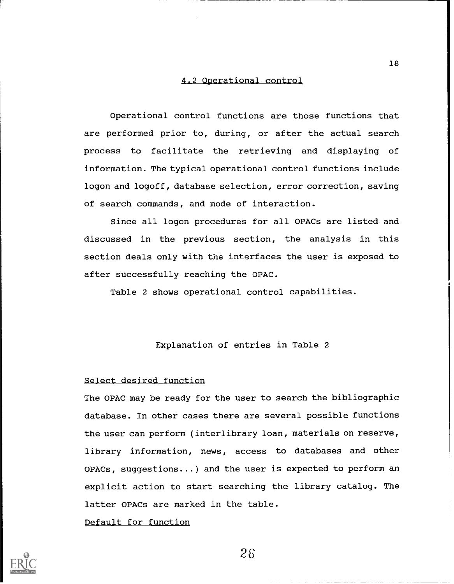### 4.2 Operational control

Operational control functions are those functions that are performed prior to, during, or after the actual search process to facilitate the retrieving and displaying of information. The typical operational control functions include logon and logoff, database selection, error correction, saving of search commands, and mode of interaction.

Since all logon procedures for all OPACs are listed and discussed in the previous section, the analysis in this section deals only with the interfaces the user is exposed to after successfully reaching the OPAC.

Table 2 shows operational control capabilities.

### Explanation of entries in Table 2

### Select desired function

The OPAC may be ready for the user to search the bibliographic database. In other cases there are several possible functions the user can perform (interlibrary loan, materials on reserve, library information, news, access to databases and other OPACs, suggestions...) and the user is expected to perform an explicit action to start searching the library catalog. The latter OPACs are marked in the table.

Default for function



 $26$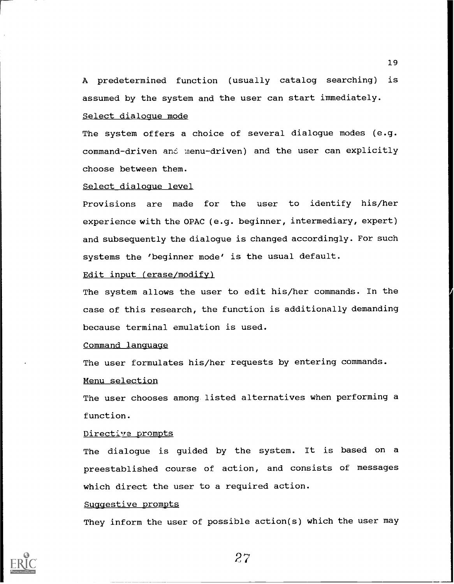A predetermined function (usually catalog searching) is assumed by the system and the user can start immediately. Select dialogue mode

The system offers a choice of several dialogue modes (e.g. command-driven and menu-driven) and the user can explicitly choose between them.

### Select dialogue level

Provisions are made for the user to identify his/her experience with the OPAC (e.g. beginner, intermediary, expert) and subsequently the dialogue is changed accordingly. For such systems the 'beginner mode' is the usual default.

### Edit input (erase/modify)

The system allows the user to edit his/her commands. In the case of this research, the function is additionally demanding because terminal emulation is used.

### Command language

The user formulates his/her requests by entering commands.

### Menu selection

The user chooses among listed alternatives when performing a function.

### Directive prompts

The dialogue is guided by the system. It is based on a preestablished course of action, and consists of messages which direct the user to a required action.

### Suggestive prompts

They inform the user of possible action(s) which the user may

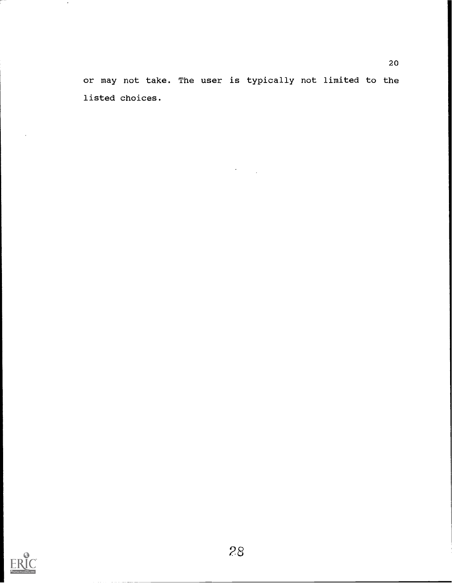or may not take. The user is typically not limited to the listed choices.



 $\sim$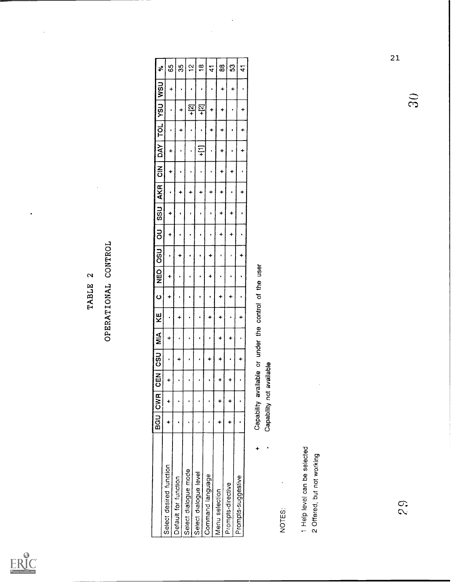

# TABLE 2<br>OPERATIONAL CONTROL

|                              | BGU       | <b>CWR</b>                                            | <b>MEX</b><br>$\circ$ | CSU                  | $\frac{4}{5}$ | KE        | $\bullet$      | <b>NEO</b>     | <b>USO</b> | ō                | <b>SSU</b>     | <b>AKR</b> | $\frac{z}{\overline{c}}$ | DAY              | TOL       | hSh                       | <b>USN</b>           | $\boldsymbol{\mathcal{S}}$ |
|------------------------------|-----------|-------------------------------------------------------|-----------------------|----------------------|---------------|-----------|----------------|----------------|------------|------------------|----------------|------------|--------------------------|------------------|-----------|---------------------------|----------------------|----------------------------|
| Select desired function      | $\ddot{}$ | $\ddot{}$                                             | $\ddot{}$             | ٠                    | +             | $\bullet$ | $\ddot{}$      | +              | ٠          | +                | $\ddot{}$      | $\bullet$  | +                        | ÷                | ٠         | $\bullet$                 | $\ddot{}$            | 89                         |
| Default for function         |           |                                                       | $\bullet$             | ÷                    | $\bullet$     | ۰         | $\blacksquare$ | $\bullet$      | +          | ٠                | ¢              | +          | ٠                        | ٠                | +         | ÷                         | $\bullet$            | 35                         |
| Select dialogue mode         |           |                                                       | $\bullet$             | $\pmb{\cdot}$        | ٠             | ٠         | ٠              | $\blacksquare$ | ٠          |                  | $\bullet$      | ÷          | ٠                        | $\bullet$        | $\bullet$ | <u>្ន</u>                 | $\bullet$            | $\tilde{c}$                |
| Select dialogue level        | $\bullet$ |                                                       | $\bullet$             | ٠                    | $\bullet$     | ٠         | ٠              | $\bullet$      |            | ٠                | $\blacksquare$ | ۰          | ٠                        | Ę                | $\bullet$ | $+$ [2]                   | $\pmb{\mathfrak{t}}$ | $\frac{\infty}{\infty}$    |
| Command language             | $\bullet$ | ٠                                                     | $\bullet$             | ÷                    | ٠             | 4         | $\bullet$      | ÷              | +          | $\pmb{\epsilon}$ | ٠              | +          | ٠                        | $\pmb{\epsilon}$ | $\ddot{}$ | $\ddot{}$                 | $\bullet$            | $\overline{4}$             |
| Menu selection               | $\ddot{}$ | +                                                     | $\ddot{}$             | $\ddot{\phantom{0}}$ | ۰             | ÷         | ÷              | ٠              | $\bullet$  | ۰                | ۰              | $\ddot{}$  | +                        | ۰                | ÷         | $\ddot{}$                 | ÷                    | $\rm g$                    |
| Prompts-directive            | 4         | ÷                                                     | $\ddot{}$             | $\bullet$            | +             | $\bullet$ | 4              | ٠              | ¢          | ۰                | ÷              | $\bullet$  | ÷                        | ٠                | $\bullet$ | ٠                         | ۰                    | $\boldsymbol{\mathcal{S}}$ |
| Prompts-suggestive           |           |                                                       | $\bullet$             | $\ddot{}$            | ŧ             | $\ddot{}$ | $\bullet$      | $\bullet$      | +          | $\bullet$        | ŧ              | +          | ٠                        | +                | $\ddot{}$ | ÷                         | ٠                    | $\ddot{4}$                 |
| ÷                            |           | Capability available or under the control of the user |                       |                      |               |           |                |                |            |                  |                |            |                          |                  |           |                           |                      |                            |
|                              |           | Capability not available                              |                       |                      |               |           |                |                |            |                  |                |            |                          |                  |           |                           |                      |                            |
| NOTES:                       |           |                                                       |                       |                      |               |           |                |                |            |                  |                |            |                          |                  |           |                           |                      |                            |
| 1 Help level can be selected |           |                                                       |                       |                      |               |           |                |                |            |                  |                |            |                          |                  |           |                           |                      |                            |
| 2 Offered, but not working   |           |                                                       |                       |                      |               |           |                |                |            |                  |                |            |                          |                  |           |                           |                      |                            |
|                              |           |                                                       |                       |                      |               |           |                |                |            |                  |                |            |                          |                  |           |                           |                      |                            |
|                              |           |                                                       |                       |                      |               |           |                |                |            |                  |                |            |                          |                  |           |                           |                      |                            |
|                              |           |                                                       |                       |                      |               |           |                |                |            |                  |                |            |                          |                  |           |                           |                      |                            |
|                              |           |                                                       |                       |                      |               |           |                |                |            |                  |                |            |                          |                  |           |                           |                      |                            |
|                              |           |                                                       |                       |                      |               |           |                |                |            |                  |                |            |                          |                  |           |                           |                      |                            |
| 56                           |           |                                                       |                       |                      |               |           |                |                |            |                  |                |            |                          |                  |           |                           |                      | 21                         |
|                              |           |                                                       |                       |                      |               |           |                |                |            |                  |                |            |                          |                  |           | $\widetilde{\mathcal{E}}$ |                      |                            |

l.

 $\overline{21}$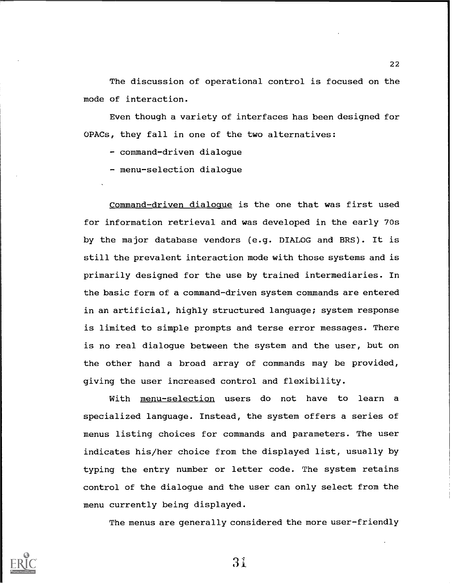The discussion of operational control is focused on the mode of interaction.

Even though a variety of interfaces has been designed for OPACs, they fall in one of the two alternatives:

- command-driven dialogue

- menu-selection dialoque

Command-driven dialogue is the one that was first used for information retrieval and was developed in the early 70s by the major database vendors (e.g. DIALOG and BRS). It is still the prevalent interaction mode with those systems and is primarily designed for the use by trained intermediaries. In the basic form of a command-driven system commands are entered in an artificial, highly structured language; system response is limited to simple prompts and terse error messages. There is no real dialogue between the system and the user, but on the other hand a broad array of commands may be provided, giving the user increased control and flexibility.

With menu-selection users do not have to learn a specialized language. Instead, the system offers a series of menus listing choices for commands and parameters. The user indicates his/her choice from the displayed list, usually by typing the entry number or letter code. The system retains control of the dialogue and the user can only select from the menu currently being displayed.

The menus are generally considered the more user-friendly

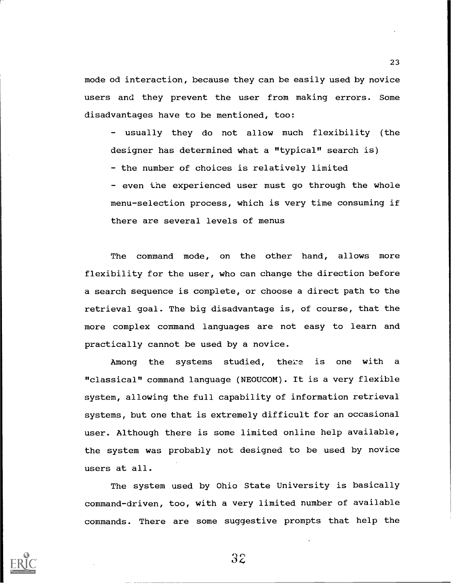mode od interaction, because they can be easily used by novice users and they prevent the user from making errors. Some disadvantages have to be mentioned, too:

- usually they do not allow much flexibility (the designer has determined what a "typical" search is)

- the number of choices is relatively limited

- even the experienced user must go through the whole menu-selection process, which is very time consuming if there are several levels of menus

The command mode, on the other hand, allows more flexibility for the user, who can change the direction before a search sequence is complete, or choose a direct path to the retrieval goal. The big disadvantage is, of course, that the more complex command languages are not easy to learn and practically cannot be used by a novice.

Among the systems studied, there is one with a "classical" command language (NEOUCOM). It is a very flexible system, allowing the full capability of information retrieval systems, but one that is extremely difficult for an occasional user. Although there is some limited online help available, the system was probably not designed to be used by novice users at all.

The system used by Ohio State University is basically command-driven, too, with a very limited number of available commands. There are some suggestive prompts that help the

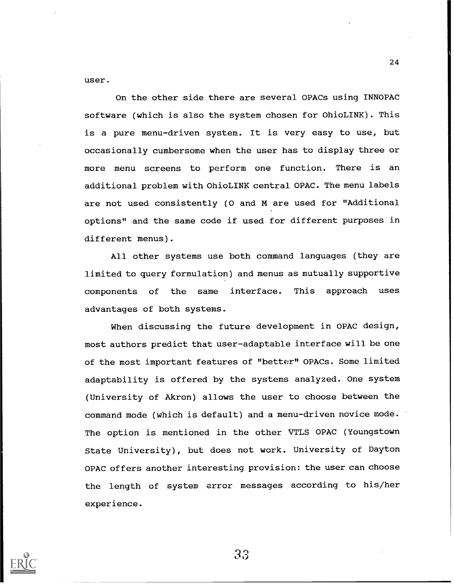user.

On the other side there are several OPACs using INNOPAC software (which is also the system chosen for OhioLINK). This is a pure menu-driven system. It is very easy to use, but occasionally cumbersome when the user has to display three or more menu screens to perform one function. There is an additional problem with OhioLINK central OPAC. The menu labels are not used consistently (0 and M are used for "Additional options" and the same code if used for different purposes in different menus).

All other systems use both command languages (they are limited to query formulation) and menus as mutually supportive components of the same interface. This approach uses advantages of both systems.

When discussing the future development in OPAC design, most authors predict that user-adaptable interface will be one of the most important features of "better" OPACs. Some limited adaptability is offered by the systems analyzed. One system (University of Akron) allows the user to choose between the command mode (which is default) and a menu-driven novice mode. The option is mentioned in the other VTLS OPAC (Youngstown State University), but does not work. University of Dayton OPAC offers another interesting provision: the user can choose the length of system error messages according to his/her experience.



33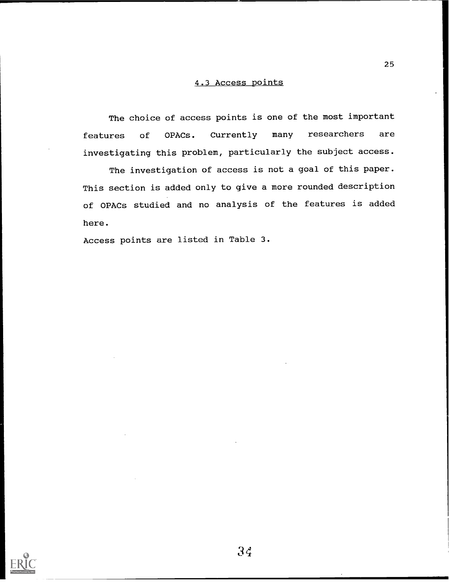### 4.3 Access points

The choice of access points is one of the most important features of OPACs. Currently many researchers are investigating this problem, particularly the subject access.

The investigation of access is not a goal of this paper. This section is added only to give a more rounded description of OPACs studied and no analysis of the features is added here.

Access points are listed in Table 3.

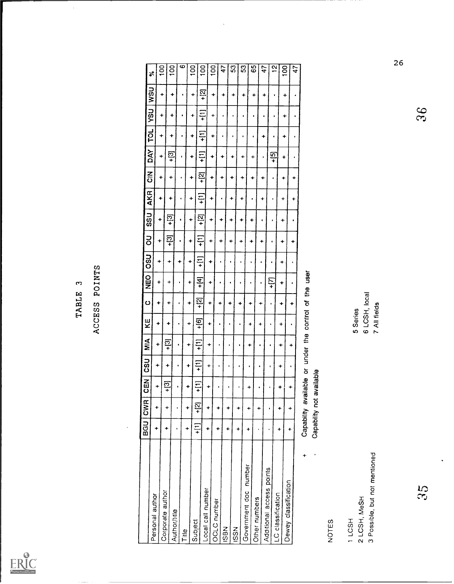

 $\ddot{\phantom{0}}$ 

|        |        | g      |
|--------|--------|--------|
| ო<br>щ | POINTS | ž      |
| TABL   |        |        |
|        | ACCESS | К<br>К |

|                                                        |           |                      |                          |                                                                                           | MIA                                                   | KE                                        | $\circ$        |                |                      |                  |            |                |               |             |                      |           |               |                            |
|--------------------------------------------------------|-----------|----------------------|--------------------------|-------------------------------------------------------------------------------------------|-------------------------------------------------------|-------------------------------------------|----------------|----------------|----------------------|------------------|------------|----------------|---------------|-------------|----------------------|-----------|---------------|----------------------------|
| Personal author                                        |           | BGU CWR              | $rac{1}{\sqrt{2}}$       | <b>CSU</b>                                                                                |                                                       |                                           |                | <b>NEO</b>     | <b>DSO</b>           | <b>S</b>         | <b>USS</b> | <b>AKR</b>     | $\frac{z}{c}$ | DAY         | TOL                  | VSU       | <b>WSU</b>    | $\boldsymbol{\mathcal{E}}$ |
|                                                        | ÷         | ÷                    | $\ddot{}$                | ٠                                                                                         | +                                                     | +                                         | $\ddot{}$      | ۰              | ÷                    | ۰                | ٠          | ÷              | +             | $\ddotmark$ | $\ddot{}$            | +         | $\ddot{}$     | $\frac{100}{2}$            |
| Corporate author                                       | ÷         | ÷                    | $\frac{1}{2}$            | $\ddot{}$                                                                                 | $+2$                                                  | $\ddot{}$                                 | ۰              | ٠              | $\ddot{\phantom{1}}$ | $+$ [3]          | $+$ [3]    | $\ddot{}$      | $\ddot{}$     | $+$ [3]     | $\ddot{}$            | $\ddot{}$ |               | $\frac{1}{2}$              |
| Author/title                                           |           |                      | $\bullet$                | $\bullet$                                                                                 | ٠                                                     | $\bullet$                                 | ٠              | $\blacksquare$ | $\ddot{}$            | $\bullet$        | $\bullet$  | $\bullet$      | $\bullet$     |             |                      |           | $\ddot{}$     |                            |
| Title                                                  | $\ddot{}$ | $\ddotmark$          | $\ddotmark$              | $\ddot{}$                                                                                 | $\ddot{}$                                             | $\ddot{}$                                 | ٠              | $\ddot{}$      | $\ddot{}$            |                  |            |                |               | $\bullet$   | $\bullet$            | $\bullet$ |               | ဖ                          |
| Subject                                                | $+$ [1]   | $+2$                 | $+$ [1]                  | $\Xi$                                                                                     | $\overline{11}$                                       | $+$ [6]                                   | $\frac{1}{2}$  |                |                      | $\ddot{}$        | +          | ÷              | +             | $\ddot{}$   | ۰                    | ÷         | $\ddot{}$     | $\frac{8}{100}$            |
| Local call number                                      | ÷         | $\ddot{}$            |                          |                                                                                           |                                                       |                                           |                | $\frac{4}{1}$  | Ξ                    | $+11$            | $+$ [2]    | Ξ              | $\frac{1}{2}$ | 一<br>一      | $\overline{11}$      | $\pm$     | $\frac{1}{2}$ | 100                        |
| OCLC number                                            |           |                      | ÷                        | ÷                                                                                         | $\ddot{}$                                             | ÷                                         | $\ddot{}$      | ÷              | +                    | $\ddot{}$        | +          | $\ddot{}$      | +             | ۰           | +                    | ÷         | ÷             | 100                        |
| <b>N</b> BSI                                           | $\ddot{}$ | $\ddot{}$            | ¢                        | ٠                                                                                         | $\bullet$                                             | $\bullet$                                 | $\ddot{}$      | $\blacksquare$ | $\bullet$            | ۰                | +          | $\bullet$      | ÷             | +           | $\bullet$            | $\bullet$ | $\ddot{}$     | 47                         |
| <b>ISSN</b>                                            | $\ddot{}$ | ÷                    | $\bullet$                | $\pmb{\cdot}$                                                                             | $\bullet$                                             | $\pmb{\epsilon}$                          | $\ddot{}$      | $\bullet$      |                      | $\ddot{}$        | +          | $\color{red}+$ | $\ddot{}$     | $\ddot{}$   | $\pmb{\epsilon}$     | $\bullet$ | $\ddot{}$     | 53                         |
|                                                        | ۰         | $\ddot{}$            | $\blacksquare$           | $\bullet$                                                                                 |                                                       | $\pmb{\epsilon}$                          | +              | ٠              | ٠                    | $\ddot{}$        | +          | $\ddot{}$      | ÷             | ÷           | ٠                    | $\bullet$ | ٠             | S3                         |
| number<br>Government doc                               |           | $\color{red}+$       | $\div$                   | $\bullet$                                                                                 | ÷                                                     | +                                         | $\color{red}+$ | $\bullet$      | $\bullet$            | $\ddot{}$        | $\ddot{}$  | $\blacksquare$ | ۰             | ۰           | $\bullet$            | ٠         | ۰             | 65                         |
| Other numbers                                          | $\bullet$ | $\ddot{}$            | $\bullet$                | ٠                                                                                         | $\bullet$                                             | $\ddot{}$                                 | ۰              | ٠              |                      | +                | $\bullet$  | ÷              | ۰             | $\bullet$   | $\ddot{}$            | $\bullet$ | +             | 47                         |
| Additional access points                               |           |                      | $\pmb{\cdot}$            | $\mathbf{I}$                                                                              |                                                       | $\pmb{\cdot}$                             | $\bullet$      | +IT            | $\bullet$            | $\pmb{\epsilon}$ | $\bullet$  | $\bullet$      |               | $+$ [5]     |                      |           |               |                            |
| LC classification                                      | $\ddot{}$ | ÷                    | $\ddot{}$                | $\begin{array}{c} \displaystyle \quad + \quad \\ \displaystyle \quad + \quad \end{array}$ | $\ddot{}$                                             | +                                         | $\ddot{}$      | $\ddot{}$      | ۰                    | ÷                |            |                |               |             | $\bullet$            |           | ٠             | $\frac{2}{3}$              |
| Dewey classification                                   | $\div$    | $\ddot{\phantom{0}}$ | $\ddot{\phantom{1}}$     | $\bullet$                                                                                 | $\ddot{}$                                             | $\pmb{\epsilon}$                          |                |                |                      |                  | +          | ÷              | ÷             | 4           | $\ddot{\phantom{1}}$ | ۰         | +             | 100                        |
|                                                        |           |                      |                          |                                                                                           |                                                       |                                           | +              | $\blacksquare$ | $\pmb{\epsilon}$     | ٠                | $\bullet$  | $\color{red}+$ | ÷             | $\bullet$   | ٠                    | ٠         | ٠             | 47                         |
| $\ddot{}$                                              |           |                      | Capability not available |                                                                                           | Capability available or under the control of the user |                                           |                |                |                      |                  |            |                |               |             |                      |           |               |                            |
|                                                        |           |                      |                          |                                                                                           |                                                       |                                           |                |                |                      |                  |            |                |               |             |                      |           |               |                            |
| NOTES                                                  |           |                      |                          |                                                                                           |                                                       |                                           |                |                |                      |                  |            |                |               |             |                      |           |               |                            |
| 3 Possible, but not mentioned<br>2 LCSH, MeSH<br>11CSH |           |                      |                          |                                                                                           |                                                       | 6 LCSH, local<br>7 All fields<br>5 Series |                |                |                      |                  |            |                |               |             |                      |           |               |                            |
|                                                        |           |                      |                          |                                                                                           |                                                       |                                           |                |                |                      |                  |            |                |               |             |                      |           |               | 26                         |
| $\frac{5}{3}$                                          |           |                      |                          |                                                                                           |                                                       |                                           |                |                |                      |                  |            |                |               |             |                      | 36        |               |                            |
|                                                        |           |                      |                          |                                                                                           |                                                       |                                           |                |                |                      |                  |            |                |               |             |                      |           |               |                            |

 $\ddot{\phantom{1}}$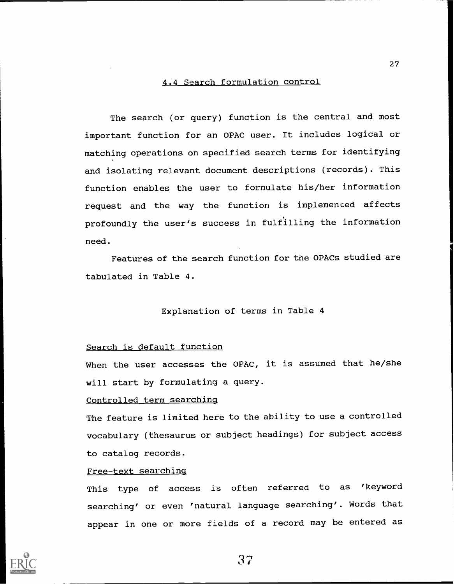### 4.4 Search formulation control

The search (or query) function is the central and most important function for an OPAC user. It includes logical or matching operations on specified search terms for identifying and isolating relevant document descriptions (records). This function enables the user to formulate his/her information request and the way the function is implemenced affects profoundly the user's success in fulfilling the information need.

Features of the search function for the OPACs studied are tabulated in Table 4.

### Explanation of terms in Table 4

### Search is default function

When the user accesses the OPAC, it is assumed that he/she will start by formulating a query.

### Controlled term searching

The feature is limited here to the ability to use a controlled vocabulary (thesaurus or subject headings) for subject access to catalog records.

### Free-text searching

This type of access is often referred to as 'keyword searching' or even 'natural language searching'. Words that appear in one or more fields of a record may be entered as

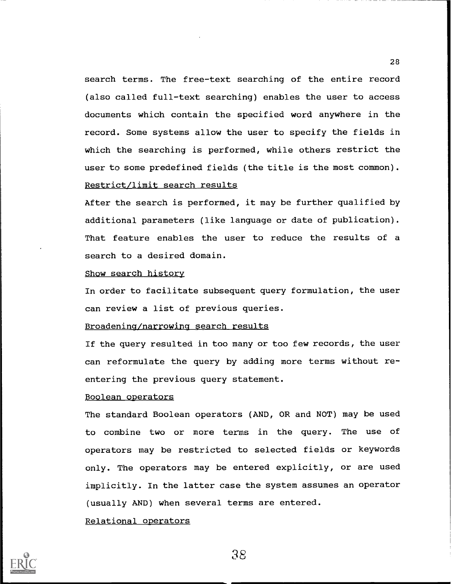search terms. The free-text searching of the entire record (also called full-text searching) enables the user to access documents which contain the specified word anywhere in the record. Some systems allow the user to specify the fields in which the searching is performed, while others restrict the user to some predefined fields (the title is the most common). Restrict/limit search results

After the search is performed, it may be further qualified by additional parameters (like language or date of publication). That feature enables the user to reduce the results of a search to a desired domain.

### Show search history

In order to facilitate subsequent query formulation, the user can review a list of previous queries.

### Broadening/narrowing search results

If the query resulted in too many or too few records, the user can reformulate the query by adding more terms without reentering the previous query statement.

### Boolean operators

The standard Boolean operators (AND, OR and NOT) may be used to combine two or more terms in the query. The use of operators may be restricted to selected fields or keywords only. The operators may be entered explicitly, or are used implicitly. In the latter case the system assumes an operator (usually AND) when several terms are entered.

### Relational operators

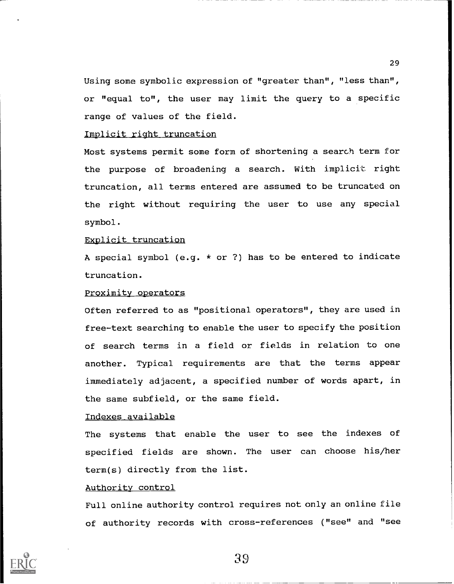Using some symbolic expression of "greater than", "less than", or "equal to", the user may limit the query to a specific range of values of the field.

### Implicit right truncation

Most systems permit some form of shortening a search term for the purpose of broadening a search. With implicit right truncation, all terms entered are assumed to be truncated on the right without requiring the user to use any special symbol.

### Explicit truncation

A special symbol (e.g. \* or ?) has to be entered to indicate truncation.

### Proximity operators

Often referred to as "positional operators", they are used in free-text searching to enable the user to specify the position of search terms in a field or fields in relation to one another. Typical requirements are that the terms appear immediately adjacent, a specified number of words apart, in the same subfield, or the same field.

### Indexes available

The systems that enable the user to see the indexes of specified fields are shown. The user can choose his/her term(s) directly from the list.

### Authority control

Full online authority control requires not only an online file of authority records with cross-references ("see" and "see



39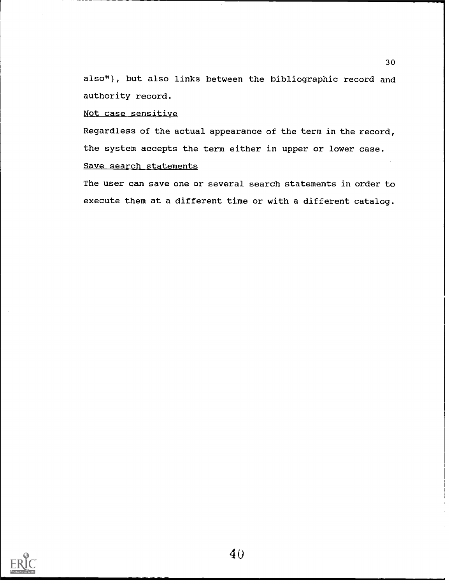also"), but also links between the bibliographic record and authority record.

30

### Not case sensitive

Regardless of the actual appearance of the term in the record, the system accepts the term either in upper or lower case. Save search statements

The user can save one or several search statements in order to execute them at a different time or with a different catalog.

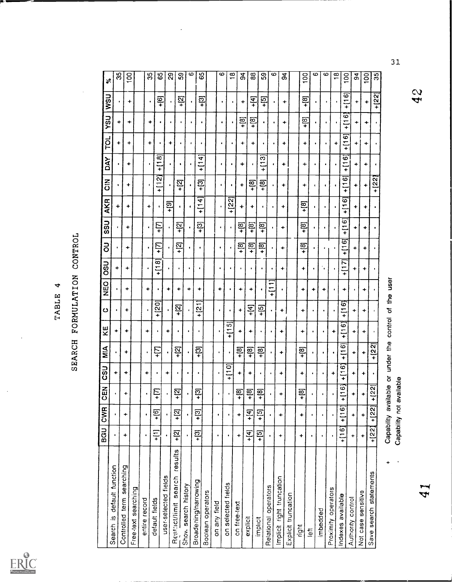

# TABLE 4<br>SEARCH FORMULATION CONTROL

|                                  |                   | BGU CWR              | 띺<br>$\circ$                                  | CSU                          | $\frac{4}{5}$              | ピス                   | ပ                        | <b>Dan</b>    | <b>USO</b>         | 5                  | <b>USS</b>         | AKR                | $\frac{z}{0}$                | <b>AXO</b>                          | <b>TOL</b>         | Lish                   | USN                | $\boldsymbol{\mathcal{E}}$ |
|----------------------------------|-------------------|----------------------|-----------------------------------------------|------------------------------|----------------------------|----------------------|--------------------------|---------------|--------------------|--------------------|--------------------|--------------------|------------------------------|-------------------------------------|--------------------|------------------------|--------------------|----------------------------|
| Search is default function       |                   |                      | $\bullet$                                     | ÷                            |                            | ۰                    | $\bullet$                |               | ۰                  |                    |                    |                    |                              |                                     |                    |                        |                    |                            |
| Controlled term searching        | $\ddot{}$         | $\ddot{}$            | ۰                                             |                              |                            |                      |                          |               |                    |                    |                    | +                  |                              |                                     | ٠                  | ۰                      |                    | 35                         |
| Free-text searching              |                   |                      |                                               | +                            | +                          | +                    | +                        | +             | +                  | +                  | ۰                  | ۰                  | +                            | +                                   | ۰                  | $\ddot{}$              | ۰                  | 8                          |
| entire record                    |                   |                      |                                               |                              |                            |                      |                          |               |                    |                    |                    |                    |                              |                                     |                    |                        |                    |                            |
|                                  | $\bullet$         | $\bullet$            | ٠                                             | ۰                            | $\bullet$                  | ۰                    |                          | +             |                    | $\bullet$          |                    | ۰                  | $\pmb{\epsilon}$             | $\bullet$                           | ۰                  | ۰                      | $\bullet$          | 35                         |
| default fields                   | Ξ                 | $+$ [6]              | Ε<br>۰                                        | ٠                            | +I                         | ٠                    | $+120$                   | ٠             | ∞<br>Ξ<br>÷        | +[7]               | ÷۱                 | ٠                  | N<br>$\equiv$<br>$\ddotmark$ | $\bar{\mathbf{e}}$<br>$\frac{1}{1}$ |                    |                        | <u>្</u>           | 65                         |
| user-selected fields             |                   |                      |                                               | ۰                            |                            | ۰                    |                          | ۰             |                    |                    |                    | <u>ခု</u>          | ٠                            | ٠                                   | ÷                  | $\bullet$              | ٠                  | ଅ                          |
| results<br>Restrict/limit search | $+2$              | <u>ុក</u>            | 図<br>۰                                        | ٠                            | <u>ន្</u>                  | ٠                    | <u> 일</u>                | ۰             | $\bullet$          | <u>ଟ</u><br>Ŧ      | <u>ន្</u>          | $\blacksquare$     | <u>ន្</u>                    | ٠                                   | $\bullet$          |                        | <u>ត្ត</u>         | တ                          |
| Show search history              |                   |                      |                                               | $\bullet$                    |                            | ٠                    |                          | +             |                    |                    |                    | $\bullet$          | $\bullet$                    | ٠                                   |                    |                        |                    |                            |
| Broadening/narrowing             | $+2$              | $\frac{1}{2}$        | ලු<br>÷                                       | ٠                            | <u>។</u><br>។              | ٠                    | $\overline{\mathcal{C}}$ | +             |                    |                    | ලු                 |                    |                              |                                     | $\blacksquare$     | ٠                      |                    | ယ                          |
| Boolean operators                |                   |                      |                                               |                              |                            |                      |                          |               |                    |                    | $\ddot{}$          | 4<br>$\ddot{}$     | <u>ុទា</u>                   | 4<br>Ξ<br>$\ddotmark$               | ٠                  |                        | <u>පි</u>          | 65                         |
| on any field                     |                   |                      | ٠                                             |                              | $\bullet$                  |                      | $\bullet$                | +             | $\bullet$          | ٠                  | ٠                  | $\bullet$          |                              |                                     |                    |                        |                    |                            |
| on selected fields               | $\bullet$         | $\bullet$            | $\bullet$                                     | õ<br>$\frac{1}{1}$           |                            | in,<br>$\frac{1}{1}$ | ٠                        |               |                    |                    |                    |                    | ٠                            | $\bullet$                           | ٠                  | $\bullet$              | ٠                  | ∞                          |
| on free-text                     |                   |                      |                                               |                              |                            |                      |                          |               | ٠                  |                    |                    | <u>ี 22)</u><br>÷  |                              | $\bullet$                           | $\bullet$          | $\bullet$              | $\bullet$          | $\frac{8}{1}$              |
|                                  | $\ddot{}$         | $\ddot{\phantom{1}}$ | ම<br>+                                        | ÷                            | <u>=្</u>                  | +                    | ۰                        | +             | $\bullet$          | <u>ន្</u>          | <u>ីម</u>          | +                  | +                            | +                                   | ۰                  | $+181$                 | ۰                  | 34                         |
| explicit                         | $\frac{4}{1}$     | $+ [4]$              | [8]<br>+                                      | ۰                            | $+18$                      | +                    | $+14$                    | ۰             | $\bullet$          | - [8]<br>+         | $\frac{1}{2}$      | ٠                  | <u>ទេ</u>                    | $\bullet$                           | ÷                  | <u>ទ្</u>              | <u>। स</u>         | $\mathbf{a}$               |
| implicit                         | $\frac{5}{1}$     | $+5$                 | මු<br>+                                       | ٠                            | +[8]                       |                      | $+15$                    | $\bullet$     | $\bullet$          | <u>្រុម</u>        | $+181$             | $\bullet$          | <u>ទ្</u>                    | က<br>Ξ<br>$\ddot{}$                 | ٠                  |                        | $\overline{5}$     | င္ဟ                        |
| Relational operators             | $\bullet$         |                      | $\bullet$                                     | $\bullet$                    |                            |                      | $\ddot{\phantom{1}}$     | $\frac{1}{1}$ |                    |                    |                    |                    |                              | ¢.                                  | $\bullet$          | ٠                      | $\bullet$          | ဖ                          |
| Implicit right truncation        | ۰                 | +                    | ٠                                             | ۰                            | +                          | +                    | ۰                        | $\bullet$     | +                  | +                  | ۰                  | ۰                  | ۰                            | ۰                                   | ۰                  |                        |                    |                            |
| Explicit truncation              |                   |                      |                                               |                              |                            |                      |                          |               |                    |                    |                    |                    |                              |                                     |                    | +                      | ۰                  | ಕ                          |
| right                            | ۰                 | +                    | ම<br>+                                        | ۰                            | $+181$                     | +                    | +                        | ÷             | ۰                  | $+18$              | $\frac{1}{2}$      | <u>្រុ</u>         |                              |                                     |                    |                        |                    |                            |
| $\frac{1}{2}$                    | $\bullet$         |                      | $\bullet$                                     | $\bullet$                    |                            |                      | ٠                        | +             | ٠                  |                    |                    |                    | ۰                            | +                                   | $\ddot{}$          | <u>្រុ</u>             | $\frac{1}{2}$      | $\frac{8}{10}$             |
| imbedded                         | $\bullet$         |                      | $\bullet$                                     | ٠                            | ٠                          |                      |                          |               | ۰,                 |                    |                    |                    | ¢                            |                                     | $\bullet$          |                        | ٠                  | ဖ                          |
| Proximity operators              | $\bullet$         |                      |                                               | ۰                            |                            |                      | ٠                        | +             |                    | ٠                  | ٠                  | ٠                  | t                            | ٠                                   | $\bullet$          | ٠                      | $\bullet$          | ∞                          |
| Indexes available                |                   |                      |                                               |                              |                            | +                    |                          |               |                    |                    |                    |                    |                              |                                     | $\ddot{}$          | ٠                      | ٠                  | $\frac{8}{1}$              |
|                                  | -[16]             | $+1161$              | $\mathbf{e}$<br>$\overline{\phantom{0}}$<br>÷ | ဖ<br>$\equiv$<br>$\ddotmark$ | ة<br>$\equiv$<br>$\ddot{}$ | 6<br>$\frac{1}{1}$   | ە<br>Ξ<br>$\ddotmark$    | ۰             | Ņ<br>$\equiv$<br>÷ | 6<br>$\frac{1}{1}$ | ဖ<br>$\frac{1}{1}$ | Ö<br>$\frac{1}{1}$ | ïΘ<br>$\frac{1}{1}$          | ၜ<br>$\frac{1}{1}$                  | ە<br>$\frac{1}{x}$ | َه<br>Ξ<br>$\ddotmark$ | စ<br>$\frac{1}{1}$ | $\overline{0}$             |
| Authority control                | $\ddot{}$         | ÷                    | $\ddot{}$                                     | ۰                            | ۰                          | ۰                    | ۰                        |               | +                  | ٠                  | +                  | +                  | ۰                            | +                                   | ۰                  | ÷                      | ۰                  | ठू                         |
| Not case sensitive               |                   |                      | ۰                                             | ۰                            | ۰                          | ۰                    | +                        | ۰             | +                  | +                  | ÷                  | ۰                  | ۰                            | +                                   | $\ddot{}$          | +                      | ۰                  | $\frac{8}{1}$              |
| Save search statements           | $+122$            | $+ [22]$             | $\overline{22}$<br>÷                          |                              | [22]<br>$\ddot{}$          | $\blacksquare$       | $\blacksquare$           |               | ٠                  |                    | ٠                  |                    | $+$ [22]                     | $\pmb{\epsilon}$                    | $\bullet$          | ٠                      | $+ [22]$           | 35                         |
| ۰                                |                   |                      | Capability available                          | $\overline{\circ}$           | under the control          |                      |                          | of the user   |                    |                    |                    |                    |                              |                                     |                    |                        |                    |                            |
|                                  | Capability not av |                      | ailable                                       |                              |                            |                      |                          |               |                    |                    |                    |                    |                              |                                     |                    |                        |                    |                            |
|                                  |                   |                      |                                               |                              |                            |                      |                          |               |                    |                    |                    |                    |                              |                                     |                    |                        |                    |                            |

Capability available or under the control of the user Capability not available

31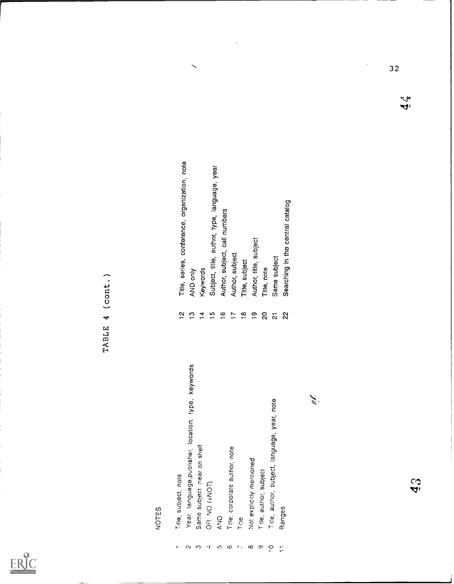

| Year, language, publisher, location, type, keywords<br>Same subject near on shelf<br>Title, subject, note<br>OR NO (=NOT)<br>240                             | $\overline{\mathbf{C}}$<br>$\mathbf{r}$<br>$\frac{6}{1}$<br>프<br>$\overline{5}$                       | Title, series, conference, organization, note<br>Subject, title, author, type, language, year<br>Author, subject, call numbers<br>Keywords<br>AND only |
|--------------------------------------------------------------------------------------------------------------------------------------------------------------|-------------------------------------------------------------------------------------------------------|--------------------------------------------------------------------------------------------------------------------------------------------------------|
| year, note<br>Title, author, subject, language,<br>Title, corporate author, note<br>Not explicitly mentioned<br>Title, author, subject<br>Ranges<br>$T$ rtie | $\mathbf{S}$<br>$\frac{8}{1}$<br>$\mathbf{G}$<br>$\rm _{\rm 2}$<br>$\overline{ }$<br>$\tilde{\Omega}$ | Searching in the central catalog<br>Author, title, subject<br>Author, subject<br>Same subject<br>Title, subject<br>Title, note                         |

- 
- 
- 
- 
- - -

l,

- 
- 
- 
- 

 $32$ 

 $\ddot{\phantom{0}}$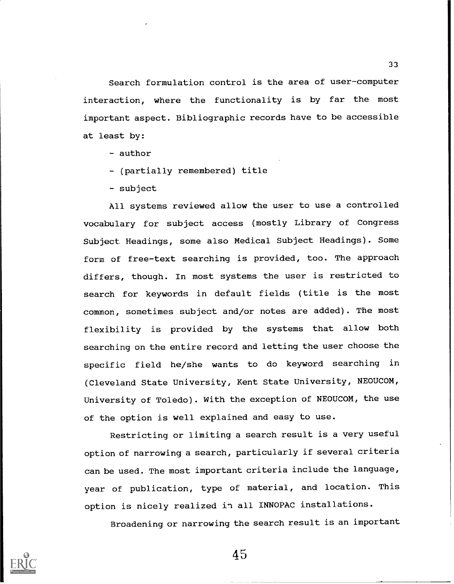Search formulation control is the area of user-computer interaction, where the functionality is by far the most important aspect. Bibliographic records have to be accessible at least by:

- author
- (partially remembered) title
- subject

All systems reviewed allow the user to use a controlled vocabulary for subject access (mostly Library of Congress Subject Headings, some also Medical Subject Headings). Some form of free-text searching is provided, too. The approach differs, though. In most systems the user is restricted to search for keywords in default fields (title is the most common, sometimes subject and/or notes are added). The most flexibility is provided by the systems that allow both searching on the entire record and letting the user choose the specific field he/she wants to do keyword searching in (Cleveland State University, Kent State University, NEOUCOM, University of Toledo). With the exception of NEOUCOM, the use of the option is well explained and easy to use.

Restricting or limiting a search result is a very useful option of narrowing a search, particularly if several criteria can be used. The most important criteria include the language, year of publication, type of material, and location. This option is nicely realized in all INNOPAC installations.

Broadening or narrowing the search result is an important

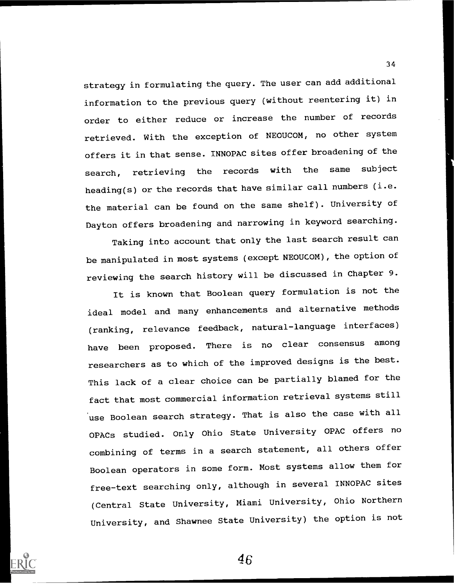strategy in formulating the query. The user can add additional information to the previous query (without reentering it) in order to either reduce or increase the number of records retrieved. With the exception of NEOUCOM, no other system offers it in that sense. INNOPAC sites offer broadening of the search, retrieving the records with the same subject heading(s) or the records that have similar call numbers (i.e. the material can be found on the same shelf). University of Dayton offers broadening and narrowing in keyword searching.

Taking into account that only the last search result can be manipulated in most systems (except NEOUCOM), the option of reviewing the search history will be discussed in Chapter 9.

It is known that Boolean query formulation is not the ideal model and many enhancements and alternative methods (ranking, relevance feedback, natural-language interfaces) have been proposed. There is no clear consensus among researchers as to which of the improved designs is the best. This lack of a clear choice can be partially blamed for the fact that most commercial information retrieval systems still use Boolean search strategy. That is also the case with all OPACs studied. Only Ohio State University OPAC offers no combining of terms in a search statement, all others offer Boolean operators in some form. Most systems allow them for free-text searching only, although in several INNOPAC sites (Central State University, Miami University, Ohio Northern University, and Shawnee State University) the option is not



46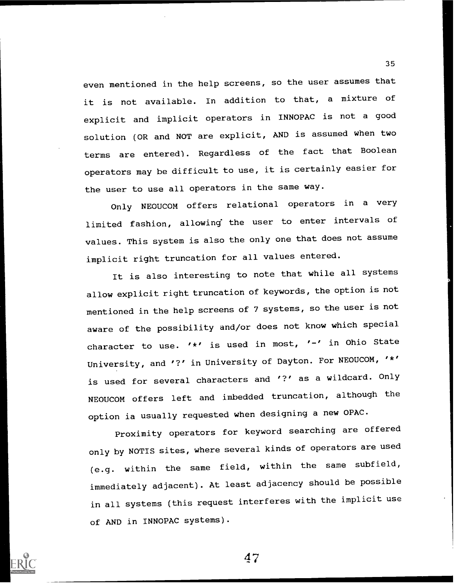even mentioned in the help screens, so the user assumes that it is not available. In addition to that, a mixture of explicit and implicit operators in INNOPAC is not a good solution (OR and NOT are explicit, AND is assumed when two terms are entered). Regardless of the fact that Boolean operators may be difficult to use, it is certainly easier for the user to use all operators in the same way.

Only NEOUCOM offers relational operators in <sup>a</sup> very limited fashion, allowing' the user to enter intervals of values. This system is also the only one that does not assume implicit right truncation for all values entered.

It is also interesting to note that while all systems allow explicit right truncation of keywords, the option is not mentioned in the help screens of 7 systems, so the user is not aware of the possibility and/or does not know which special character to use. '\*' is used in most, '-' in Ohio State University, and '?' in University of Dayton. For NEOUCOM, '\*' is used for several characters and '?' as a wildcard. Only NEOUCOM offers left and imbedded truncation, although the option ia usually requested when designing a new OPAC.

Proximity operators for keyword searching are offered only by NOTIS sites, where several kinds of operators are used (e.g. within the same field, within the same subfield, immediately adjacent). At least adjacency should be possible in all systems (this request interferes with the implicit use of AND in INNOPAC systems).



47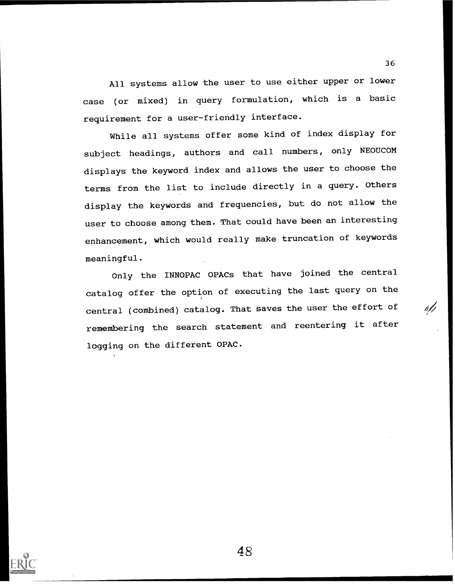All systems allow the user to use either upper or lower case (or mixed) in query formulation, which is a basic requirement for a user-friendly interface.

While all systems offer some kind of index display for subject headings, authors and call numbers, only NEOUCOM displays the keyword index and allows the user to choose the terms from the list to include directly in a query. Others display the keywords and frequencies, but do not allow the user to choose among them. That could have been an interesting enhancement, which would really make truncation of keywords meaningful.

Only the INNOPAC OPACs that have joined the central catalog offer the option of executing the last query on the central (combined) catalog. That saves the user the effort of remembering the search statement and reentering it after logging on the different OPAC.

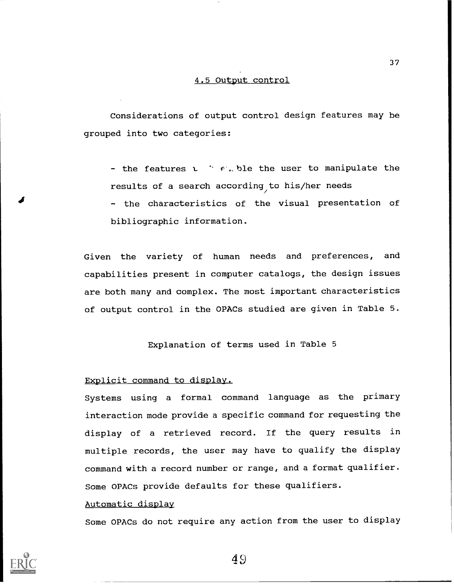### 4.5 Output control

Considerations of output control design features may be grouped into two categories:

- the features  $t \rightarrow e$ . ble the user to manipulate the results of a search according to his/her needs

- the characteristics of the visual presentation of bibliographic information.

Given the variety of human needs and preferences, and capabilities present in computer catalogs, the design issues are both many and complex. The most important characteristics of output control in the OPACs studied are given in Table 5.

Explanation of terms used in Table 5

### Explicit command to display.

Systems using <sup>a</sup> formal command language as the primary interaction mode provide a specific command for requesting the display of a retrieved record. If the query results in multiple records, the user may have to qualify the display command with a record number or range, and a format qualifier. Some OPACs provide defaults for these qualifiers.

### Automatic display

Some OPACs do not require any action from the user to display

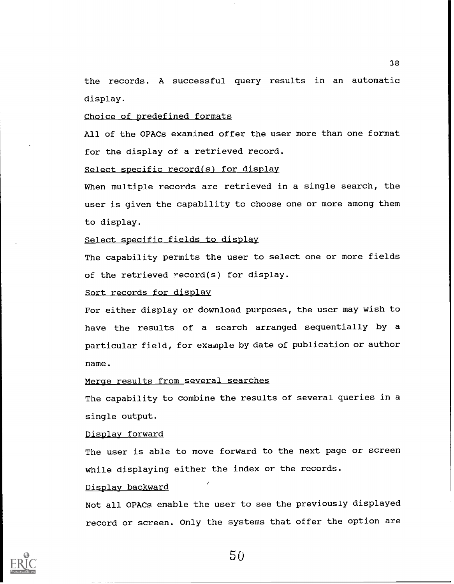the records. A successful query results in an automatic display.

### Choice of predefined formats

All of the OPACs examined offer the user more than one format for the display of a retrieved record.

### Select specific record(s) for display

When multiple records are retrieved in a single search, the user is given the capability to choose one or more among them to display.

### Select specific fields to display

The capability permits the user to select one or more fields of the retrieved record(s) for display.

### Sort records for display

For either display or download purposes, the user may wish to have the results of a search arranged sequentially by a particular field, for exainple by date of publication or author name.

### Merge results from several searches

The capability to combine the results of several queries in a single output.

### Display forward

The user is able to move forward to the next page or screen while displaying either the index or the records.

### Display backward

Not all OPACs enable the user to see the previously displayed record or screen. Only the systems that offer the option are

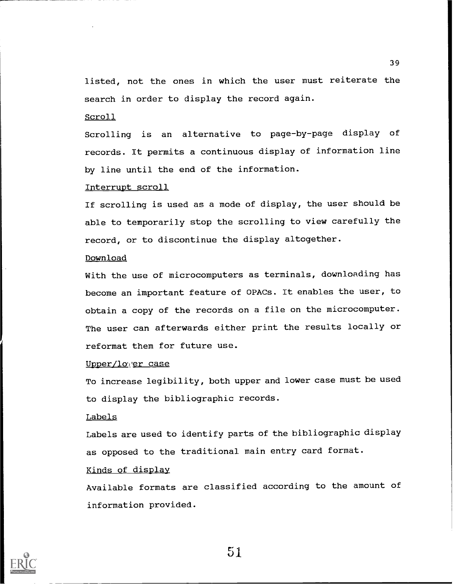listed, not the ones in which the user must reiterate the search in order to display the record again.

Scroll

Scrolling is an alternative to page-by-page display of records. It permits a continuous display of information line by line until the end of the information.

Interrupt scroll

If scrolling is used as a mode of display, the user should be able to temporarily stop the scrolling to view carefully the record, or to discontinue the display altogether.

### Download

With the use of microcomputers as terminals, downloading has become an important feature of OPACs. It enables the user, to obtain a copy of the records on a file on the microcomputer. The user can afterwards either print the results locally or reformat them for future use.

Upper/lower case

To increase legibility, both upper and lower case must be used to display the bibliographic records.

### Labels

Labels are used to identify parts of the bibliographic display as opposed to the traditional main entry card format.

### Kinds of display

Available formats are classified according to the amount of information provided.

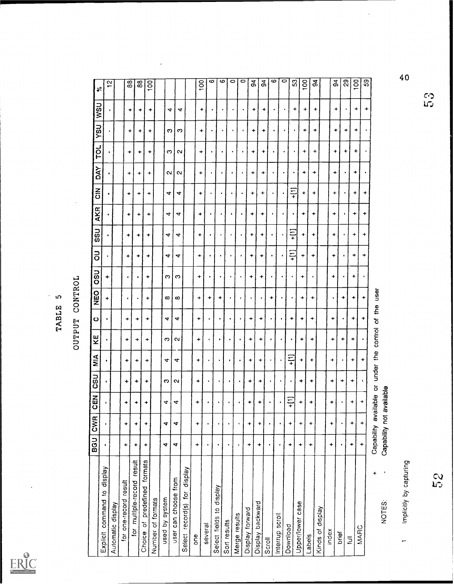

TABLE 5<br>OUTPUT CONTROL

|                                                        | $\overline{5}$                                                                                                                                                                                                                                                                                                                                                                                                                                                                                        | CW <sub>R</sub>         | <b>GEN</b>      | csu               | MIA            | ΚĒ         | ပ         | <b>OBO</b> | <b>USO</b> | 5              | <b>OSS</b>               | <b>AKR</b> | $\frac{z}{0}$ | λk               | TOL         | LISA             | <b>USM</b> | $\boldsymbol{\mathcal{E}}$ |
|--------------------------------------------------------|-------------------------------------------------------------------------------------------------------------------------------------------------------------------------------------------------------------------------------------------------------------------------------------------------------------------------------------------------------------------------------------------------------------------------------------------------------------------------------------------------------|-------------------------|-----------------|-------------------|----------------|------------|-----------|------------|------------|----------------|--------------------------|------------|---------------|------------------|-------------|------------------|------------|----------------------------|
| display<br>$\overline{\mathbf{c}}$<br>Explicit command |                                                                                                                                                                                                                                                                                                                                                                                                                                                                                                       |                         |                 |                   |                | $\bullet$  |           | ٠          | ÷          |                |                          |            |               |                  |             |                  |            |                            |
| Automatic display                                      |                                                                                                                                                                                                                                                                                                                                                                                                                                                                                                       |                         |                 |                   |                |            |           |            |            |                |                          |            |               |                  |             |                  |            | $\scriptstyle\sim$         |
| for one-record result                                  | ٠                                                                                                                                                                                                                                                                                                                                                                                                                                                                                                     | ÷                       | ٠               | ÷                 | ٠              | +          | ۰         | $\bullet$  |            | +              | +                        | ۰          | ۰             | ٠                |             |                  |            |                            |
| for multiple-record result                             | $\ddot{}$                                                                                                                                                                                                                                                                                                                                                                                                                                                                                             | $\ddot{}$               | +               | ۰                 | ٠              | +          | +         |            |            | +              | +                        | +          |               |                  | +           | ٠                | ÷          | $\overline{38}$            |
| Choice of predefined formats                           | ٠                                                                                                                                                                                                                                                                                                                                                                                                                                                                                                     | $\ddot{}$               | ٠               | ٠                 | ٠              | $\ddot{}$  | ۰         | ٠          | ٠          | +              | ٠                        | ٠          | ٠             | ٠                | ۰           | ٠                | +          | 88                         |
| Number of formats                                      |                                                                                                                                                                                                                                                                                                                                                                                                                                                                                                       |                         |                 |                   |                |            |           |            |            |                |                          |            | ÷             | ÷                | +           | ٠                | ۰          | 100                        |
| used by system                                         | 4                                                                                                                                                                                                                                                                                                                                                                                                                                                                                                     | 4                       | 4               | O                 | 4              | c          | 4         | ∞          | O          | 4              | 4                        | 4          | 4             |                  |             |                  |            |                            |
| user can choose from                                   | 4                                                                                                                                                                                                                                                                                                                                                                                                                                                                                                     | $\overline{\mathbf{r}}$ | 4               | $\mathbf{\alpha}$ | 4              | $\sim$     | 4         | $\infty$   | က          | 4              | 4                        | 4          | 4             | $\sim$<br>$\sim$ | က<br>$\sim$ | က<br>ဇာ ၊        | 4          |                            |
| Select record(s) for display                           |                                                                                                                                                                                                                                                                                                                                                                                                                                                                                                       |                         |                 |                   |                |            |           |            |            |                |                          |            |               |                  |             |                  | 4          |                            |
| one                                                    | ٠                                                                                                                                                                                                                                                                                                                                                                                                                                                                                                     | $\ddot{}$               | +               | +                 | ۰              | $\ddot{}$  | ۰         | ۰          | ۰          | +              | $\ddot{}$                |            |               |                  |             |                  |            |                            |
| several                                                | $\bullet$                                                                                                                                                                                                                                                                                                                                                                                                                                                                                             |                         |                 |                   |                | ٠          |           | +          |            |                |                          | +          | +             | ٠                | ۰           | +                | +          | $\frac{8}{100}$            |
| Veldsip of<br>Select fields                            |                                                                                                                                                                                                                                                                                                                                                                                                                                                                                                       |                         |                 |                   |                |            |           |            |            | $\bullet$      | $\bullet$                |            |               |                  |             |                  |            | ဖ                          |
| Son results                                            |                                                                                                                                                                                                                                                                                                                                                                                                                                                                                                       |                         |                 | ٠                 | $\bullet$      | ٠          | $\bullet$ | +          |            |                |                          |            |               |                  |             |                  |            | ဖ                          |
|                                                        | $\bullet$                                                                                                                                                                                                                                                                                                                                                                                                                                                                                             | $\bullet$               | $\bullet$       | $\bullet$         | $\blacksquare$ | ٠          |           |            |            |                |                          | $\bullet$  |               |                  |             |                  |            | $\circ$                    |
| Merge results                                          | $\bullet$                                                                                                                                                                                                                                                                                                                                                                                                                                                                                             |                         |                 |                   |                |            |           |            |            |                |                          |            | ٠             |                  | ٠.          | $\pmb{\epsilon}$ | ٠          | $\circ$                    |
| Display forward                                        | $\ddot{}$                                                                                                                                                                                                                                                                                                                                                                                                                                                                                             | ٠                       | +               | ۰                 | ۰              | ٠          | ۰         |            | +          | ۰              | +                        | +          | ÷             | ۰                | ۰           | ۰                | +          | $\mathfrak{g}$             |
| Display backward                                       | ٠                                                                                                                                                                                                                                                                                                                                                                                                                                                                                                     | ÷                       | ÷               | +                 | ٠              | ۰          | ٠         |            | +          | +              | ÷                        | ٠          | $\ddot{}$     | ۰                | +           | ۰                | +          | $\mathfrak{g}$             |
| Scroll                                                 | $\bullet$                                                                                                                                                                                                                                                                                                                                                                                                                                                                                             |                         |                 | ٠                 | $\pmb{\cdot}$  | ٠          | $\bullet$ | +          | $\bullet$  | $\bullet$      | $\bullet$                |            |               |                  |             |                  |            |                            |
| Interrup scroll                                        | $\bullet$                                                                                                                                                                                                                                                                                                                                                                                                                                                                                             |                         | ٠               | $\bullet$         | $\bullet$      | $\bullet$  |           |            |            |                |                          |            | $\bullet$     | ٠                |             |                  |            | ဖ<br>$\circ$               |
| Download                                               | ٠                                                                                                                                                                                                                                                                                                                                                                                                                                                                                                     | +                       | $\overline{11}$ | $\bullet$         | $\ddot{=}$     |            | +         |            |            | $\overline{=}$ | $\widetilde{\mathsf{H}}$ |            | $\frac{1}{1}$ |                  |             |                  | $\bullet$  |                            |
| Upper/lower case                                       | $\ddot{}$                                                                                                                                                                                                                                                                                                                                                                                                                                                                                             | +                       | +               | ٠                 | ۰              | ٠          | ٠         | +          |            |                |                          |            |               | $\bullet$        | ٠           | ٠                | ٠          | ${\mathbb S}^2$            |
| Labels                                                 | ٠                                                                                                                                                                                                                                                                                                                                                                                                                                                                                                     | $\ddot{}$               |                 |                   |                |            |           |            | +          | +              | +                        | $\ddot{}$  | ÷             | ٠                | ÷           | ÷                | ÷          | 100                        |
| Kinds of display                                       |                                                                                                                                                                                                                                                                                                                                                                                                                                                                                                       |                         | ۰               | ۰                 | ٠              | ٠          | $\ddot{}$ | +          |            | ٠              | ۰                        | ٠          | ٠             | ٠                | ۰           | $\ddot{}$        | ۰          | $\mathbf{g}$               |
| index                                                  |                                                                                                                                                                                                                                                                                                                                                                                                                                                                                                       |                         |                 |                   |                |            |           |            |            |                |                          |            |               |                  |             |                  |            |                            |
|                                                        | $\ddot{}$                                                                                                                                                                                                                                                                                                                                                                                                                                                                                             | ÷                       | ÷               | ۰                 | ٠              | +          | ٠         | $\bullet$  | $\ddot{}$  | ٠              | $\ddot{}$                | ٠          | ٠             | +                | ۰           | +                | +          | $\frac{a}{2}$              |
| brief                                                  |                                                                                                                                                                                                                                                                                                                                                                                                                                                                                                       |                         | $\bullet$       | ٠                 | $\bullet$      | ٠          |           | +          |            |                |                          |            |               |                  | ۰           | +                | ٠          | $\overline{3}$             |
| $\overline{\mathbb{D}}$                                | ÷                                                                                                                                                                                                                                                                                                                                                                                                                                                                                                     | ٠                       | $\ddot{}$       | ۰                 | +              | ۰          | +         | ٠          | ٠          | ٠              | ٠                        | +          | ÷             | +                | +           | ٠                | ٠          | 8                          |
| MARC                                                   | $\begin{array}{c} \color{red} \textbf{+} \color{blue} \textbf{+} \color{blue} \textbf{+} \color{blue} \textbf{+} \color{blue} \textbf{+} \color{blue} \textbf{+} \color{blue} \textbf{+} \color{blue} \textbf{+} \color{blue} \textbf{+} \color{blue} \textbf{+} \color{blue} \textbf{+} \color{blue} \textbf{+} \color{blue} \textbf{+} \color{blue} \textbf{+} \color{blue} \textbf{+} \color{blue} \textbf{+} \color{blue} \textbf{+} \color{blue} \textbf{+} \color{blue} \textbf{+} \color{blue$ | $\ddot{}$               | $\ddot{}$       |                   | ۰              |            | ۰         | ۰          |            | +              | $\ddot{}$                | +          | +             | $\bullet$        | $\bullet$   |                  | $\ddot{}$  | $\overline{5}$             |
| +                                                      | Capability avail                                                                                                                                                                                                                                                                                                                                                                                                                                                                                      |                         |                 | able or under the |                | control of | the       | lesn       |            |                |                          |            |               |                  |             |                  |            |                            |
| $\pmb{\ast}$<br>NOTES:                                 | Capability not available                                                                                                                                                                                                                                                                                                                                                                                                                                                                              |                         |                 |                   |                |            |           |            |            |                |                          |            |               |                  |             |                  |            |                            |
| Implicitly by capturing<br>⊷                           |                                                                                                                                                                                                                                                                                                                                                                                                                                                                                                       |                         |                 |                   |                |            |           |            |            |                |                          |            |               |                  |             |                  |            | 40                         |
|                                                        |                                                                                                                                                                                                                                                                                                                                                                                                                                                                                                       |                         |                 |                   |                |            |           |            |            |                |                          |            |               |                  |             |                  |            |                            |
| 5S<br>S                                                |                                                                                                                                                                                                                                                                                                                                                                                                                                                                                                       |                         |                 |                   |                |            |           |            |            |                |                          |            |               |                  |             |                  | رتنا       | C.                         |
|                                                        |                                                                                                                                                                                                                                                                                                                                                                                                                                                                                                       |                         |                 |                   |                |            |           |            |            |                |                          |            |               |                  |             |                  |            |                            |

 $40$ 

 $\ddot{\phantom{a}}$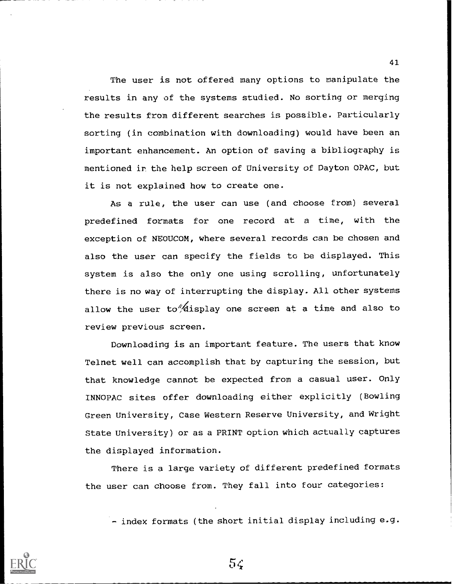The user is not offered many options to manipulate the results in any of the systems studied. No sorting or merging the results from different searches is possible. Particularly sorting (in combination with downloading) would have been an important enhancement. An option of saving a bibliography is mentioned ir the help screen of University of Dayton OPAC, but it is not explained how to create one.

As a rule, the user can use (and choose from) several predefined formats for one record at a time, with the exception of NEOUCOM, where several records can be chosen and also the user can specify the fields to be displayed. This system is also the only one using scrolling, unfortunately there is no way of interrupting the display. All other systems allow the user to  $\frac{1}{2}$  display one screen at a time and also to review previous screen.

Downloading is an important feature. The users that know Telnet well can accomplish that by capturing the session, but that knowledge cannot be expected from a casual user. Only INNOPAC sites offer downloading either explicitly (Bowling Green University, Case Western Reserve University, and Wright State University) or as a PRINT option which actually captures the displayed information.

There is a large variety of different predefined formats the user can choose from. They fall into four categories:

- index formats (the short initial display including e.g.



 $5<sub>4</sub>$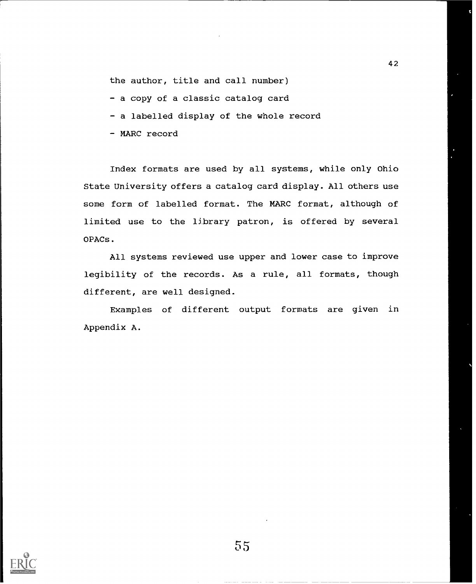the author, title and call number)

- a copy of a classic catalog card
- a labelled display of the whole record
- MARC record

Index formats are used by all systems, while only Ohio State University offers a catalog card display. All others use some form of labelled format. The MARC format, although of limited use to the library patron, is offered by several OPACs.

All systems reviewed use upper and lower case to improve legibility of the records. As a rule, all formats, though different, are well designed.

Examples of different output formats are given in Appendix A.



42

t

N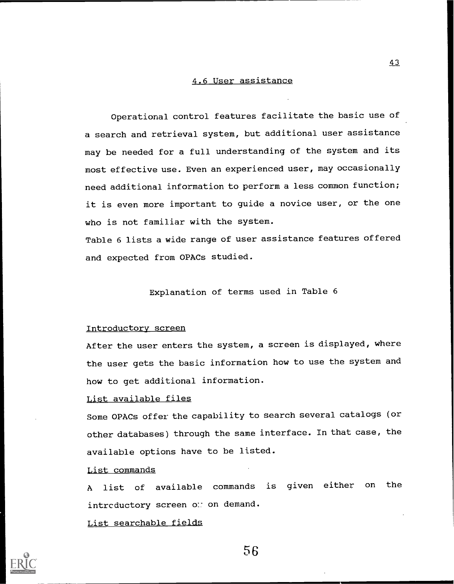### 4.6 User assistance

Operational control features facilitate the basic use of a search and retrieval system, but additional user assistance may be needed for a full understanding of the system and its most effective use. Even an experienced user, may occasionally need additional information to perform a less common function; it is even more important to guide a novice user, or the one who is not familiar with the system.

Table 6 lists a wide range of user assistance features offered and expected from OPACs studied.

### Explanation of terms used in Table 6

### Introductory screen

After the user enters the system, a screen is displayed, where the user gets the basic information how to use the system and how to get additional information.

### List available files

Some OPACs offer the capability to search several catalogs (or other databases) through the same interface. In that case, the available options have to be listed.

### List commands

A list of available commands is given either on the intreductory screen on on demand.

### List searchable fields



56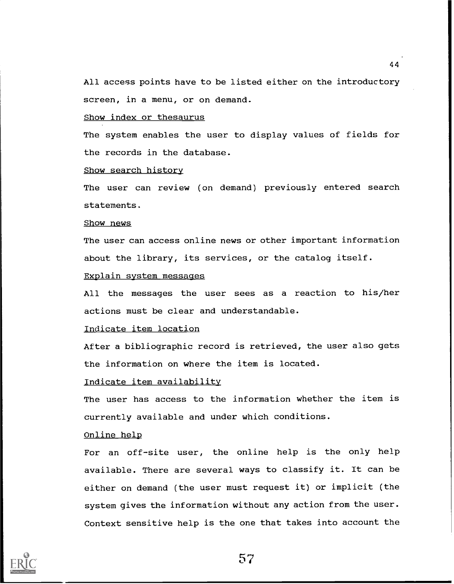All access points have to be listed either on the introductory screen, in a menu, or on demand.

### Show index or thesaurus

The system enables the user to display values of fields for the records in the database.

### Show search history

The user can review (on demand) previously entered search statements.

### Show news

The user can access online news or other important information about the library, its services, or the catalog itself.

### Explain system messages

All the messages the user sees as a reaction to his/her actions must be clear and understandable.

### Indicate item location

After a bibliographic record is retrieved, the user also gets the information on where the item is located.

### Indicate item availability

The user has access to the information whether the item is currently available and under which conditions.

### Online help

For an off-site user, the online help is the only help available. There are several ways to classify it. It can be either on demand (the user must request it) or implicit (the system gives the information without any action from the user. Context sensitive help is the one that takes into account the

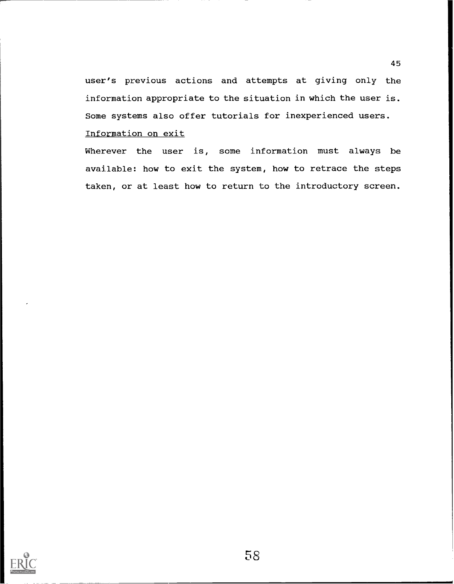user's previous actions and attempts at giving only the information appropriate to the situation in which the user is. Some systems also offer tutorials for inexperienced users.

Information on exit

Wherever the user is, some information must always be available: how to exit the system, how to retrace the steps taken, or at least how to return to the introductory screen.

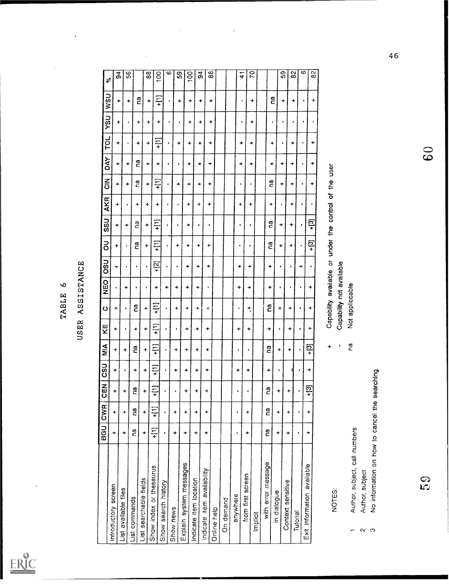ERIC

# TABLE 6<br>USER ASSISTANCE

|                                                                  |            | BGU CWR   | - 주<br>이         | CSU        | $\sum_{i=1}^{n}$ | KE             | $\bullet$                | <b>DED</b> | <b>USO</b> | $\overline{5}$    | <b>USS</b>                    | AKR       | $\frac{z}{\tilde{\sigma}}$ | DAY       | pd         | hSh       | <b>USM</b> | $\aleph$       |
|------------------------------------------------------------------|------------|-----------|------------------|------------|------------------|----------------|--------------------------|------------|------------|-------------------|-------------------------------|-----------|----------------------------|-----------|------------|-----------|------------|----------------|
| Introductory screen                                              | ٠          | ٠         | ÷                | +          | ٠                | ÷              | ۰                        |            | ᠇          | ٠                 | ٠                             | +         | ۰                          |           |            |           |            |                |
| List available files                                             | ÷          | ٠         | ٠                | $\bullet$  | ÷                |                |                          |            |            |                   |                               |           |                            | 4         | ۰          | +         | ٠          | 94             |
| List commands                                                    |            |           |                  |            |                  | $\bullet$      |                          | +          |            |                   | ٠                             |           | $\ddot{}$                  | ٠         | $\bullet$  | $\bullet$ | $\ddot{}$  | 56             |
|                                                                  | na         | <u>ຕ</u>  | ဥ                | ٠          | ဥ                | ٠              | ဥ                        | ٠          | $\bullet$  | ဥ                 | ဥ                             | ÷         | ng                         | <b>C</b>  | ٠          | ۰         | e<br>C     |                |
| List searchable fields                                           | +          | ٠         | ٠                | $\ddot{}$  | ٠                | +              | $\ddot{}$                |            | ٠          | ٠                 | $\ddot{}$                     | ٠         | +                          | ٠         | ٠          | +         | ٠          | $\overline{8}$ |
| Show index or thesaurus                                          | $+$ [1]    | $+$ [1]   | $\div$           | $\ddot{+}$ | $\frac{1}{1}$    | $\overline{1}$ | $\frac{1}{1}$            | ٠          | <u>ឆ្</u>  | $\pm$             | $\widetilde{\mp}$             | ۰         | $\ddot{=}$                 | ٠         | $\ddot{=}$ | ۰         | $\ddot{=}$ | 100            |
| Show search history                                              |            |           | ٠                | $\bullet$  | ٠                | ٠              |                          | 4          |            |                   |                               |           | ٠                          | $\bullet$ |            |           | ٠          | ဖ              |
| Show news                                                        | ÷          | ٠         | $\pmb{\epsilon}$ | ٠          | ٠                | ٠              | ٠                        | ۰          |            | +                 | $\bullet$                     | ٠         | +                          | $\bullet$ |            |           |            |                |
| Explain system messages                                          | ÷          | ۰         | +                | ٠          | ۰                | $\ddot{}$      | $\ddot{}$                | ٠          | +          | $\ddot{}$         |                               |           |                            |           | +          | $\bullet$ | ۰          | SS             |
| Indicate item location                                           | +          | ÷         | +                | ٠          | ۰                | +              | ٠                        | ۰          |            |                   | $\ddot{}$                     | ٠         | ٠                          | $\ddot{}$ | +          | +         | ٠          | 100            |
| Indicate item availability                                       | +          | ۰         | ÷                | ۰          |                  |                |                          |            | +          | ٠                 | ٠                             | ٠         | +                          | $\ddot{}$ | +          | +         | ٠          | $\mathfrak{a}$ |
| Online help                                                      |            |           |                  |            | +                | ۰              | ÷                        | $\bullet$  | ۰          | ÷                 |                               | ٠         | ۰                          | ۰         | ÷          | ٠         | ٠          | 88             |
| On demand                                                        |            |           |                  |            |                  |                |                          |            |            |                   |                               |           |                            |           |            |           |            |                |
|                                                                  |            |           |                  |            |                  |                |                          |            |            |                   |                               |           |                            |           |            |           |            |                |
| anywhere                                                         | ٠          | $\bullet$ |                  | ۰          |                  | +              | ٠                        | 4          | ٠          |                   | ٠                             | ٠         | ٠                          | ٠         | +          | $\bullet$ | $\bullet$  | $\frac{1}{4}$  |
| from first screen                                                | ٠          | ۰         | $\bullet$        | ۰          |                  | +              | ŧ                        | ÷          | ٠          | $\bullet$         | $\bullet$                     | ٠         |                            |           |            |           |            |                |
| Implicit                                                         |            |           |                  |            |                  |                |                          |            |            |                   |                               |           |                            | ٠         | ÷          | ۰         | ٠          | 2Ó             |
| with error message                                               | ີ <b>C</b> | ღ<br>ი    | ဠ                | ۰          | $\mathbf{c}$     | ÷              | g                        | ٠          | ÷          | $\tilde{c}$       | ი<br>ი                        | ۰         | ີ ເສ                       |           |            |           |            |                |
| in dialogue                                                      | ٠          | ٠         | ÷                | ٠          | ۰                | $\blacksquare$ | ۰                        | $\bullet$  |            |                   |                               |           |                            | $\ddot{}$ | ٠          | ٠         | ဦ          |                |
| Context sensitive                                                | ۰          | ۰         | $\ddot{}$        |            |                  |                |                          |            |            | ٠                 | ٠                             | $\bullet$ | ٠                          | ۰         | ٠          |           | ۰          | င္တ            |
| <b>Tutorial</b>                                                  |            |           |                  |            | ۰                | ۰              | ٠                        |            |            | +                 | ۰                             | +         | +                          | ۰         | +          | ٠         | +          | $_{\rm 82}$    |
|                                                                  |            |           |                  | ٠          |                  | $\bullet$      | $\bullet$                | $\bullet$  | ٠          |                   | ٠                             |           |                            | ٠         |            |           |            | 6              |
| Exit information available                                       | ٠          | ÷         | $+2$             | ÷          | <u>က္</u>        | $\div$         | ٠                        | +          |            | $+2\overline{13}$ | ဒ္                            |           | ٠                          | +         | +          | $\bullet$ | ÷          | 82             |
|                                                                  |            |           |                  |            |                  |                |                          |            |            |                   |                               |           |                            |           |            |           |            |                |
| NOTES:                                                           |            |           |                  |            | ٠                |                | Capability available or  |            |            |                   | under the control of the user |           |                            |           |            |           |            |                |
|                                                                  |            |           |                  |            | ٠                |                | Capability not available |            |            |                   |                               |           |                            |           |            |           |            |                |
| Author, subject, call numbers                                    |            |           |                  |            | ng<br>C          |                | Not appliccable          |            |            |                   |                               |           |                            |           |            |           |            |                |
| Author, subject                                                  |            |           |                  |            |                  |                |                          |            |            |                   |                               |           |                            |           |            |           |            |                |
| No information on how to cancel the searching<br>$\sim$ $\sigma$ |            |           |                  |            |                  |                |                          |            |            |                   |                               |           |                            |           |            |           |            |                |
|                                                                  |            |           |                  |            |                  |                |                          |            |            |                   |                               |           |                            |           |            |           |            |                |
|                                                                  |            |           |                  |            |                  |                |                          |            |            |                   |                               |           |                            |           |            |           |            |                |
|                                                                  |            |           |                  |            |                  |                |                          |            |            |                   |                               |           |                            |           |            |           |            |                |
|                                                                  |            |           |                  |            |                  |                |                          |            |            |                   |                               |           |                            |           |            |           |            |                |
|                                                                  |            |           |                  |            |                  |                |                          |            |            |                   |                               |           |                            |           |            |           |            |                |

 $60$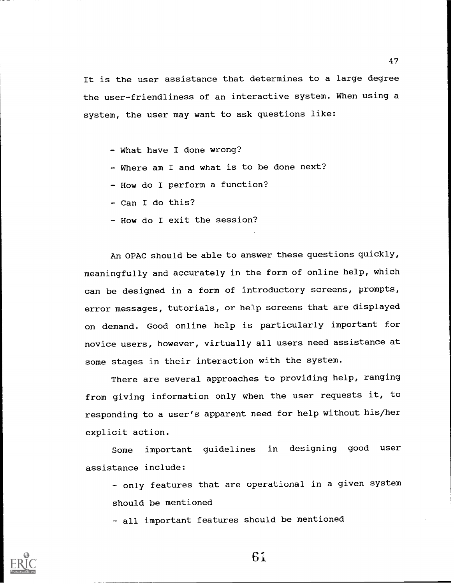It is the user assistance that determines to a large degree the user-friendliness of an interactive system. When using a system, the user may want to ask questions like:

- What have I done wrong?
- Where am I and what is to be done next?
- How do I perform a function?
- Can I do this?
- How do I exit the session?

An OPAC should be able to answer these questions quickly, meaningfully and accurately in the form of online help, which can be designed in a form of introductory screens, prompts, error messages, tutorials, or help screens that are displayed on demand. Good online help is particularly important for novice users, however, virtually all users need assistance at some stages in their interaction with the system.

There are several approaches to providing help, ranging from giving information only when the user requests it, to responding to a user's apparent need for help without his/her explicit action.

Some important guidelines in designing good user assistance include:

- only features that are operational in a given system should be mentioned

- all important features should be mentioned



6;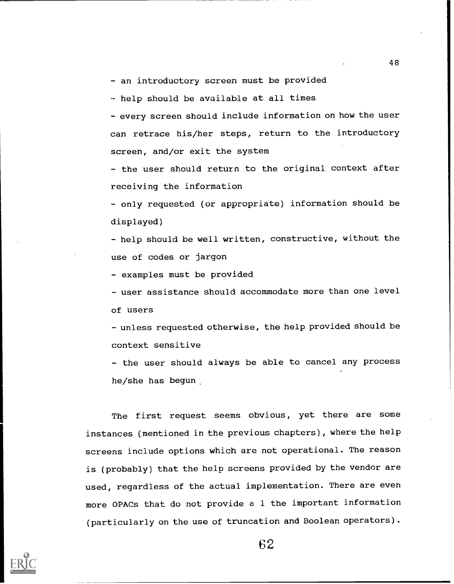- an introductory screen must be provided

- help should be available at all times

- every screen should include information on how the user can retrace his/her steps, return to the introductory screen, and/or exit the system

- the user should return to the original context after receiving the information

- only requested (or appropriate) information should be displayed)

- help should be well written, constructive, without the use of codes or jargon

- examples must be provided

- user assistance should accommodate more than one level of users

unless requested otherwise, the help provided should be context sensitive

- the user should always be able to cancel any process he/she has begun

The first request seems obvious, yet there are some instances (mentioned in the previous chapters), where the help screens include options which are not operational. The reason is (probably) that the help screens provided by the vendor are used, regardless of the actual implementation. There are even more OPACs that do not provide a 1 the important information (particularly on the use of truncation and Boolean operators).

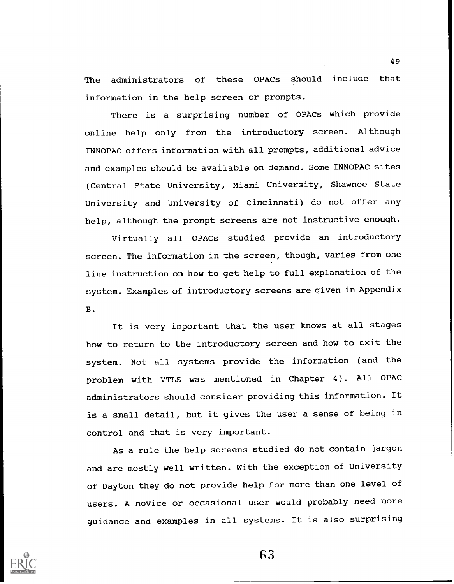The administrators of these OPACs should include that information in the help screen or prompts.

There is a surprising number of OPACs which provide online help only from the introductory screen. Although INNOPAC offers information with all prompts, additional advice and examples should be available on demand. Some INNOPAC sites (Central Ftate University, Miami University, Shawnee State University and University of Cincinnati) do not offer any help, although the prompt screens are not instructive enough.

Virtually all OPACs studied provide an introductory screen. The information in the screen, though, varies from one line instruction on how to get help to full explanation of the system. Examples of introductory screens are given in Appendix B.

It is very important that the user knows at all stages how to return to the introductory screen and how to exit the system. Not all systems provide the information (and the problem with VTLS was mentioned in Chapter 4). All OPAC administrators should consider providing this information. It is a small detail, but it gives the user a sense of being in control and that is very important.

As a rule the help screens studied do not contain jargon and are mostly well written. With the exception of University of Dayton they do not provide help for more than one level of users. A novice or occasional user would probably need more guidance and examples in all systems. It is also surprising

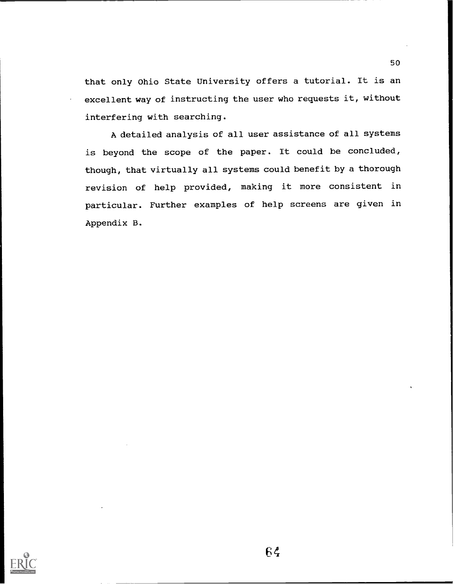that only Ohio State University offers a tutorial. It is an excellent way of instructing the user who requests it, without interfering with searching.

A detailed analysis of all user assistance of all systems is beyond the scope of the paper. It could be concluded, though, that virtually all systems could benefit by a thorough revision of help provided, making it more consistent in particular. Further examples of help screens are given in Appendix B.

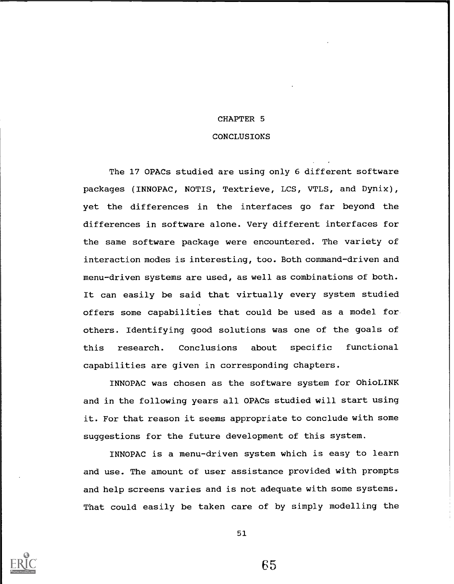### CHAPTER 5

### **CONCLUSIONS**

The 17 OPACs studied are using only 6 different software packages (INNOPAC, NOTIS, Textrieve, LCS, VTLS, and Dynix), yet the differences in the interfaces go far beyond the differences in software alone. Very different interfaces for the same software package were encountered. The variety of interaction modes is interesting, too. Both command-driven and menu-driven systems are used, as well as combinations of both. It can easily be said that virtually every system studied offers some capabilities that could be used as a model for others. Identifying good solutions was one of the goals of this research. Conclusions about specific functional capabilities are given in corresponding chapters.

INNOPAC was chosen as the software system for OhioLINK and in the following years all OPACs studied will start using it. For that reason it seems appropriate to conclude with some suggestions for the future development of this system.

INNOPAC is a menu-driven system which is easy to learn and use. The amount of user assistance provided with prompts and help screens varies and is not adequate with some systems. That could easily be taken care of by simply modelling the



51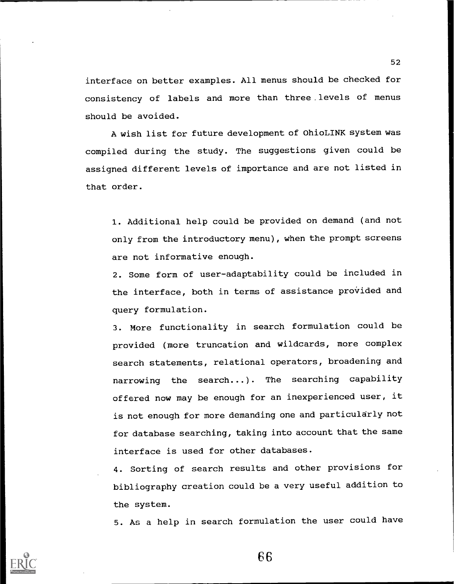interface on better examples. All menus should be checked for consistency of labels and more than three . levels of menus should be avoided.

A wish list for future development of OhioLINK system was compiled during the study. The suggestions given could be assigned different levels of importance and are not listed in that order.

1. Additional help could be provided on demand (and not only from the introductory menu), when the prompt screens are not informative enough.

2. Some form of user-adaptability could be included in the interface, both in terms of assistance provided and query formulation.

3. More functionality in search formulation could be provided (more truncation and wildcards, more complex search statements, relational operators, broadening and narrowing the search...). The searching capability offered now may be enough for an inexperienced user, it is not enough for more demanding one and particularly not for database searching, taking into account that the same interface is used for other databases.

4. Sorting of search results and other provisions for bibliography creation could be a very useful addition to the system.

5. As a help in search formulation the user could have

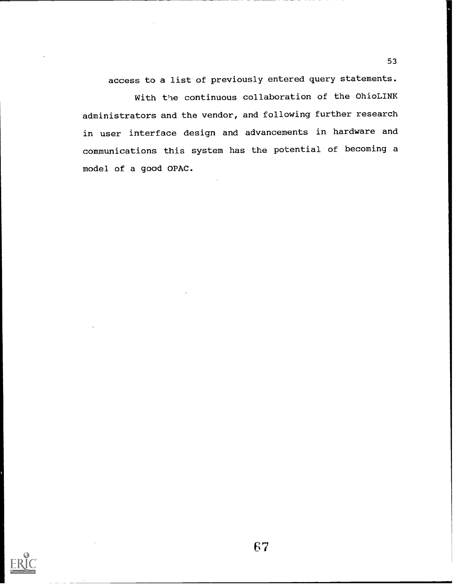access to a list of previously entered query statements.

With the continuous collaboration of the OhioLINK administrators and the vendor, and following further research in user interface design and advancements in hardware and communications this system has the potential of becoming a model of a good OPAC.

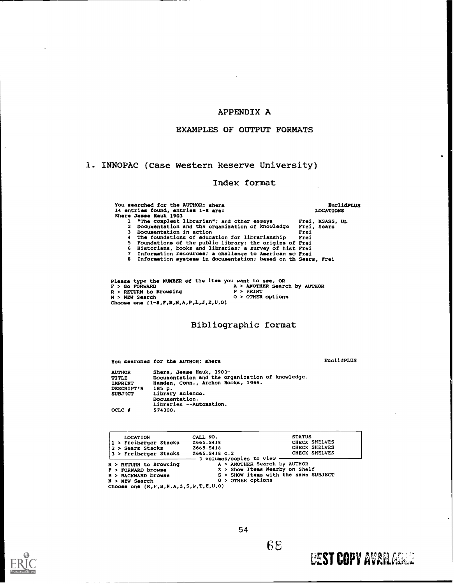### APPENDIX A

### EXAMPLES OF OUTPUT FORMATS

### 1. INNOPAC (Case Western Reserve University)

### Index format

You searched for the AUTHOR: shera<br>
14 entries found, entries 1-8 are:<br>
Shere Jesse Hauk 1903<br>
1 "The compleat librarian"; and other essays Frei,<br>
2 Documentation and the organization of knowledge Frei,<br>
3 Documentation in 4 The foundations of education for librarianship Frei<br>5 Foundations of the public library: the origins of Frei 5 Foundations of the public library: the origins of Frei<br>6 Historians, books and libraries; a survey of hist Frei<br>7 Information resources; a challenge to American sc Prei<br>8 Information systems in documentation; based on th EuclidPLUS LOCATIONS Frei, MSASS, UL Frei, Sears Frei Frei Frei Frei Frei Sears, Frei

Please type the NUMBER of the item you want to see, OR<br>F > Go FORWARD A > ANOTHER Search by AUTHOR P > GO FORWARD<br>R > RETURN to Browsing P > PRINT<br>N > NEW Search 0 > OTHER options<br>N > NEW Search 0 > OTHER options Choose ono (1-8,F,R,N,A,P,L,J,E,U,O)

### Bibliographic format

You searched for the AUTHOR: shera entry the example of the EuclidPLUS

**LEST COPY AVAILABLE** 

AUTHOR TITLE IMPRINT Hamden<br>DESCRIPT'N 185 p. SUBJ'XCT OCLC I Share, Jesse Hauk, 1903- Documentation and the organization of knowledge. Hamden, Conn., Archon Books, 1966. Library science. Documentation. Libraries --Automation. 574300.

| CALL NO.                     | <b>STATUS</b>                                                                                        |
|------------------------------|------------------------------------------------------------------------------------------------------|
| Z665.S418                    | CHECK SHELVES                                                                                        |
| Z665.S418                    | CHECK SHELVES                                                                                        |
| Z665.S418 c.2                | <b>CHECK SHELVES</b>                                                                                 |
| A > ANOTHER Search by AUTHOR |                                                                                                      |
|                              |                                                                                                      |
|                              |                                                                                                      |
| $0$ > OTHER options          |                                                                                                      |
|                              | - 3 volumes/copies to view<br>2 > Show Items Mearby on Shelf<br>S > SHOW items with the same SUBJECT |



 $\overline{z}$ 

54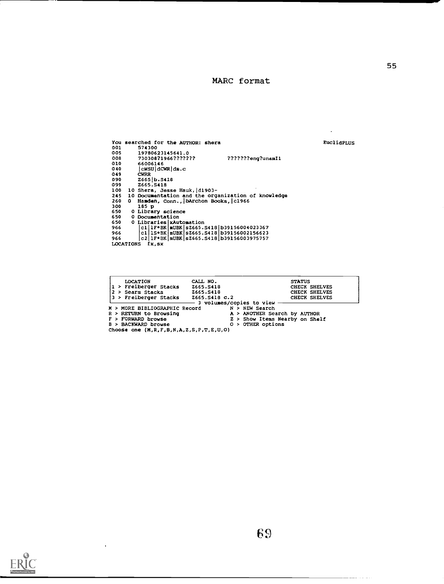### MARC format

EuclidPLUS

 $\mathcal{L}^{\pm}$ 

|       |                  | You searched for the AUTHOR: shera                 |
|-------|------------------|----------------------------------------------------|
| 001   |                  | 574300                                             |
| 005   |                  | 19780623145641.0                                   |
| 008   |                  | 73030871966???????<br>???????eng?unamIl            |
| 010   |                  | 66006146                                           |
| 040   |                  | $ c$ WSU $ d$ CWR $ d$ m.c                         |
| 049   |                  | <b>CHRR</b>                                        |
| 090   |                  | 2665 b.5418                                        |
| 099   |                  | Z665.S418                                          |
| 100   |                  | 10 Shera, Jesse Hauk, d1903-                       |
| 245   |                  | 10 Documentation and the organization of knowledge |
| 260   | ٥                | Hamden, Conn., bArchon Books, c1966                |
| 300   |                  | 185 p                                              |
| 650 - |                  | 0 Library science                                  |
| 650   |                  | 0 Documentation                                    |
| 650   |                  | 0 Libraries   xAutomation                          |
| 966   |                  | cl   1F*BK   mUBK   s2665. S418   b39156004023367  |
| 966   |                  | cll1S*BK mUBK sZ665.S418 b39156002156623           |
| 966   |                  | c2 IF*BK   mUBK   s2665. S418   b39156003975757    |
|       | <b>LOCATIONS</b> | fx,sx                                              |

| <b>LOCATION</b><br>1 > Freiberger Stacks<br>2 > Sears Stacks<br>13 > Freiberger Stacks | CALL NO.<br>Z665.S418<br>Z665.S418<br>Z665.S418 C.2 | <b>STATUS</b><br>CHECK SHELVES<br>CHECK SHELVES<br>CHECK SHELVES |
|----------------------------------------------------------------------------------------|-----------------------------------------------------|------------------------------------------------------------------|
|                                                                                        | - 3 volumes/copies to view                          |                                                                  |
| M > MORE BIBLIOGRAPHIC Record                                                          |                                                     | N > NEW Search                                                   |
| R > RETURN to Browsing                                                                 |                                                     | A > ANOTHER Search by AUTHOR                                     |
| F > FORWARD browse                                                                     |                                                     | Z > Show Items Nearby on Shelf                                   |
| B > BACKWARD browse                                                                    |                                                     | $0 >$ OTHER options                                              |
| Choose one $(H, R, F, B, N, A, Z, S, P, T, E, U, O)$                                   |                                                     |                                                                  |



 $\ddot{\phantom{0}}$ 

والمراجع والمستشر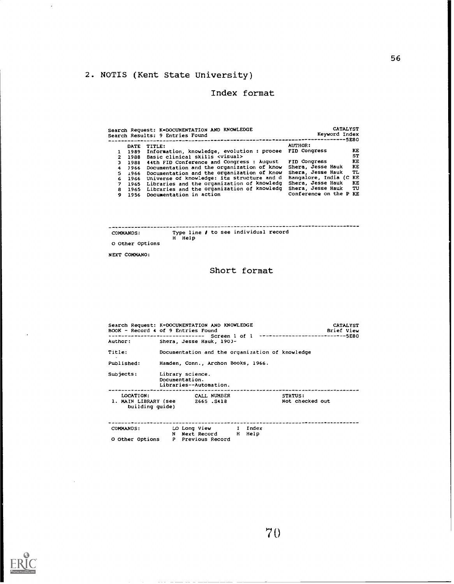# 2. NOTIS (Kent State University)

### Index format

|    |             | Search Request: K=DOCUMENTATION AND KNOWLEDGE<br>Search Results: 9 Entries Found | <b>CATALYST</b><br>Keyword Index | $-5E8O$   |
|----|-------------|----------------------------------------------------------------------------------|----------------------------------|-----------|
|    | <b>DATE</b> | TITLE:                                                                           | <b>AUTHOR:</b>                   |           |
|    | 1989        | Information, knowledge, evolution : procee                                       | FID Congress                     | KE        |
|    | 2 1988      | Basic clinical skills <visual></visual>                                          |                                  | ST        |
|    |             | 3 1988 44th FID Conference and Congress : August                                 | FID Congress                     | KE        |
| 4  | 1966        | Documentation and the organization of know                                       | Shera, Jesse Hauk                | KE        |
|    |             | 5 1966 Documentation and the organization of know                                | Shera, Jesse Hauk                | <b>TL</b> |
| 6. |             | 1966 Universe of knowledge: its structure and d                                  | Bangalore, India (C KE           |           |
| 7. |             | 1965 Libraries and the organization of knowledg                                  | Shera, Jesse Hauk                | KE        |
|    |             | 8 1965 Libraries and the organization of knowledg                                | Shera, Jesse Hauk                | TU TU     |
| 9. |             | 1956 Documentation in action                                                     | Conference on the P KE           |           |

| <b>COMMANDS:</b> | Type line / to see individual record |
|------------------|--------------------------------------|
|                  | H Help                               |
| O Other Options  |                                      |

NEXT COMMAND:

 $\overline{\phantom{a}}$ 

### Short format

|                              | Search Request: K=DOCUNENTATION AND KNOWLEDGE<br><b>CATALYST</b><br>BOOK - Record 4 of 9 Entries Found<br>Brief View<br>-------------------------    Screen 1 of 1 -----------------------------5E80 |  |
|------------------------------|------------------------------------------------------------------------------------------------------------------------------------------------------------------------------------------------------|--|
| Author:                      | Shera, Jesse Hauk, 1903-                                                                                                                                                                             |  |
| Title:                       | Documentation and the organization of knowledge                                                                                                                                                      |  |
| Published:                   | Hamden, Conn., Archon Books, 1966.                                                                                                                                                                   |  |
|                              | Subjects: Library science.<br>Documentation.<br>Libraries--Automation.                                                                                                                               |  |
| LOCATION:<br>building quide) | <b>CALL NUMBER</b><br><b>STATUS:</b><br>Not checked out<br>1. MAIN LIBRARY (see 2665.S418                                                                                                            |  |
| <b>COMMANDS:</b>             | LO Long View I Index<br>N Next Record H Help<br>O Other Options P Previous Record                                                                                                                    |  |

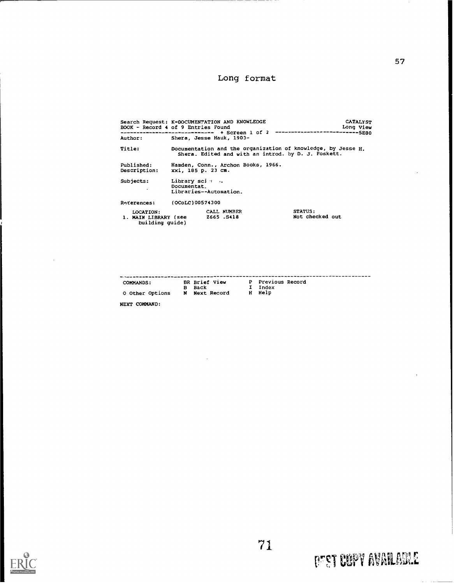# Long format

| BOOK - Record 4 of 9 Entries Found                   |                                | Search Request: K=DOCUMENTATION AND KNOWLEDGE                               |                                                                                                                     | <b>CATALYST</b><br>Long View |
|------------------------------------------------------|--------------------------------|-----------------------------------------------------------------------------|---------------------------------------------------------------------------------------------------------------------|------------------------------|
| Author:                                              |                                | ------------------------------- + Screen l of 2<br>Shera, Jesse Hauk, 1903- | -------------5280                                                                                                   |                              |
| Title:                                               |                                |                                                                             | Documentation and the organization of knowledge, by Jesse H.<br>Shera. Edited and with an introd. by D. J. Foskett. |                              |
| Published:<br>Description:                           | xxi, 185 p. 23 cm.             | Hamden, Conn., Archon Books, 1966.                                          |                                                                                                                     |                              |
| Subjects:                                            | Library sci · ·<br>Documentat. | Libraries--Automation.                                                      |                                                                                                                     |                              |
| Raterences:                                          | (OCoLC)00574300                |                                                                             |                                                                                                                     |                              |
| LOCATION:<br>1. MAIN LIBRARY (see<br>building quide) |                                | CALL NUMBER<br>Z665.S418                                                    | <b>STATUS:</b><br>Not checked out                                                                                   |                              |

| <b>COMMANDS:</b>       |   | BR Brief View      | P Previous Record |
|------------------------|---|--------------------|-------------------|
|                        |   | B Back             | I Index           |
| <b>O Other Options</b> | N | <b>Next Record</b> | H Help            |

NEXT COMMAND:

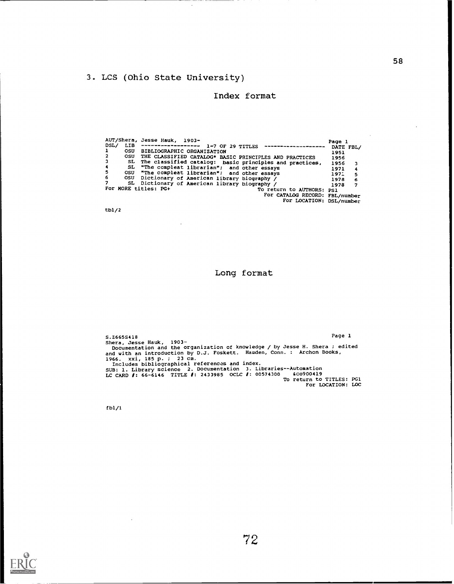## 3. LCS (Ohio State University)

 $\ddot{\phantom{a}}$ 

 $\bar{\beta}$ 

### Index format

|                  |     | AUT/Shera, Jesse Hauk, 1903-                                    | Page 1     |
|------------------|-----|-----------------------------------------------------------------|------------|
| DSL/             |     | $1-7$ OF 29 TITLES ---------------------                        | DATE FBL/  |
|                  |     | OSU BIBLIOGRAPHIC ORGANIZATION                                  | 1951       |
| $\mathbf{2}$     | osu | THE CLASSIFIED CATALOG* BASIC PRINCIPLES AND PRACTICES          | 1956       |
| $\mathbf{3}$     |     | SL The classified catalog: basic principles and practices, 1956 | з          |
| $\ddot{\bullet}$ |     | SL "The compleat librarian"; and other essays                   | 1971<br>4  |
| -5               |     | OSU "The compleat librarian"; and other essays                  | 1971<br>5  |
| -6               | osu | Dictionary of American library biography /                      | 1978<br>-6 |
| 7                |     | SL Dictionary of American library biography /                   | 1978<br>7  |
|                  |     | For MORE titles: PG+<br>To return to AUTHORS: PS1               |            |
|                  |     | For CATALOG RECORD: FBL/number                                  |            |
|                  |     | For LOCATION: DSL/number                                        |            |

tb1/2

### Long format

s.2665S418 Page 1 Shera, Jesse Hauk, 1903-<br> Documentation and the organization of knowledge / by Jesse H. Shera ; edited and with an introduction by D.J. Foskett. Hamden, Conn. : Archon Books, 1966. xxi, 185 p. ; 23 cm.<br> Includes bibliographical references and index. SUB: 1. Library science 2. Documentation 3. Libraries--Automation<br>LC CARD 1: 66-6146 TITLE 1: 2433985 OCLC 1: 00574300 GcO900419<br>For LOCATION: LOC<br>For LOCATION: LOC

fb1/1

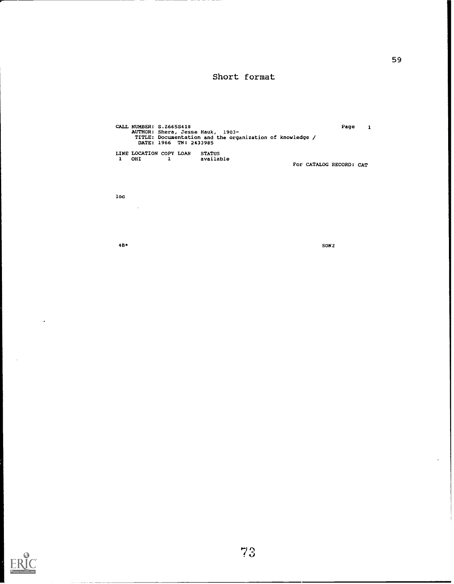### Short format

CALL NUMBER: S.2665S418 AUTHOR: Shera, Jesse Hauk, 1903 - TITLE: Documentation and the organization of knowledge / DATE: 1966 TN: 2433985 LINE LOCATION COPY LOAN STATUS <sup>1</sup> OHI 1 available Page <sup>1</sup> For CATALOG RECORD: CAT

loc

 $\mathcal{L}_{\mathbf{a}}$ 

4B\* SON2



 $\ddot{\phantom{a}}$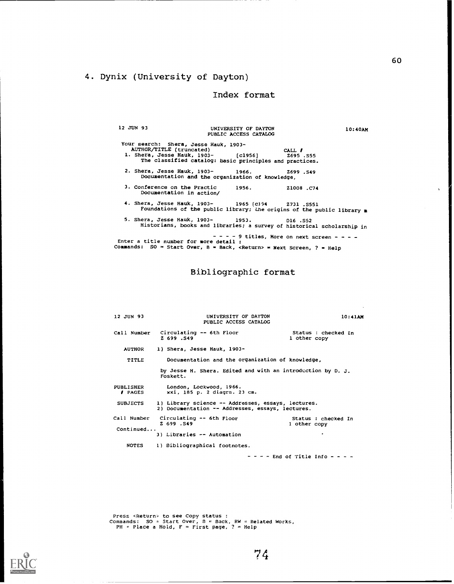### 4. Dynix (University of Dayton)

### Index format

12 JUN 93 UNIVERSITY OF DAYTON 10:40AM PUBLIC ACCESS CATALOG Your search: Shera, Jesse Hauk, 1903- AUTHOR/TITLE (truncated) CALL 1. Shera, Jesse Hauk, 1903- (c1956] 1695 .S55 The classified catalog: basic principles and practices. 2. Shera, Jesse Hauk, 1903- Z699 .S49 Documentation and the organizIric% of knowledge, 3. Conference on the Practic 1956. Documentation in action/ 11008 .C74 4. Shera, Jesse Hauk, 1903- 1965 (c194 2731 .S551 Foundations of the public library; Lhe origins of the public library <sup>a</sup> 5. Shera, Jesse Hauk, 1903- 1953. 016 .S52 Historians, books and libraries; a survey of historical scholarship in  $- - - - 9$  titles, More on next screen - - - -<br>Enter a title number for more detail : Commands: SO = Start Over, B = Back, <Return> = Next Screen, ? = Help

Bibliographic format

| 12 JUN 93                          | UNIVERSITY OF DAYTON<br>PUBLIC ACCESS CATALOG                                                          | 10:41AM                                                     |  |
|------------------------------------|--------------------------------------------------------------------------------------------------------|-------------------------------------------------------------|--|
| Call Number                        | Circulating -- 6th Floor<br>Z 699.S49                                                                  | Status : checked In<br>1 other copy                         |  |
| <b>AUTHOR</b>                      | 1) Shera, Jesse Hauk, 1903-                                                                            |                                                             |  |
| TITLE                              | Documentation and the organization of knowledge,                                                       |                                                             |  |
|                                    | Foskett.                                                                                               | by Jesse H. Shera. Edited and with an introduction by D. J. |  |
| PUBLISHER<br><b><i>I</i></b> PAGES | London, Lockwood, 1966.<br>xxi, 185 p. 2 diagrs. 23 cm.                                                |                                                             |  |
| <b>SUBJECTS</b>                    | 1) Library science -- Addresses, essays, lectures.<br>2) Documentation -- Addresses, essays, lectures. |                                                             |  |
| Call Number                        | Circulating -- 6th Floor<br>Z 699 . S49                                                                | Status : checked In<br>l other copy                         |  |
| Continued                          | 3) Libraries -- Automation                                                                             |                                                             |  |
| <b>NOTES</b>                       | 1) Bibliographical footnotes.                                                                          |                                                             |  |
|                                    |                                                                                                        | - - - - End of Title Info - - - -                           |  |

Press <Return> to see Copy status :<br>Commands: SO = Start Over, B = Back, RW = Related Works,<br>PH = Place a Hold, F = First page, ? = Help



 $\sim$   $\sim$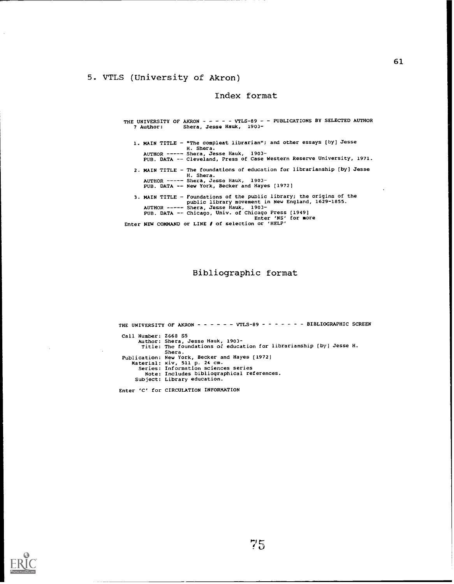### 5. VTLS (University of Akron)

### Index format

THE UNIVERSITY OF AKRON - - - - - - VILS-89 - - PUBLICATIONS BY SELECTED AUTHOR 7 Author: Shera, Jesse Hauk, 1903-Shera, Jesse Hauk, 1903-1. MAIN TITLE - "The compleat librarian"; and other essays [by] Jesse H. Shera.<br>AUTHOR ----~ Shera, Jesse Hauk, 1903-<br>PUB. DATA -- Cleveland, Press of Case Western Reserve University, 1971. 2. MAIN TITLE - The foundations of education for librarianship [by] Jesse H. Shera.<br>AUTHOR ----- Shera, Jesse Hauk, 1903-<br>PUB. DATA -- New York, Becker and Hayes [1972] 3. MAIN TITLE - Foundations of the public library; the origins of the<br>public library movement in New England, 1629-1855.<br>AUTHOR ----- Shera, Jesse Hauk, 1903-<br>PUB. DATA -- Chicago, Univ. of Chicago Press [1949]<br>Enter 'NS'

Bibliographic format

Enter NEW COMMAND or LINE # of selection or 'HELP'

THE UNIVERSITY OF AKRON - - - - - - VTLS-89 - - - - - - - BIBLIOGRAPHIC SCREEN Call Number: 1668 55 Author: Shera, Jesse Hauk, 1903- Title: The foundations oZ education for librarianship [by] Jesse H. Shera. Publication: New York, Becker and Hayes [1972] Material: xiv, 511 p. 24 cm. Series: Information sciences series Note: Includes bibliographical references. Subject: Library education.

Enter 'C' for CIRCULATION INFORMATION

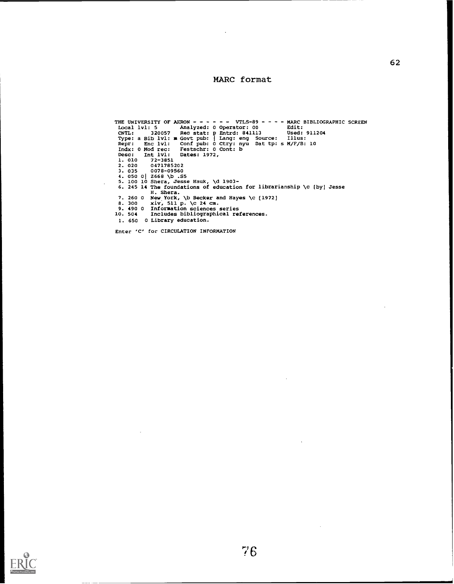### MARC format

```
THE UNIVERSITY OF AKON - - - - - VILS-89 - - - - WARC BIBLIOGRAPHIC SCREEN<br>
LCAI 1v1: 5 Analyzed: 0 Operator: 00 Edit:<br>
CNTL: 320057 Rec stat: p Entrd: 841113 Used: 911204<br>
Type: a Bib 1v1: ■ Govt pub: 0 Ctry: nyu Dat tp: 
  1. 650 0 Library education.
```
Enter 'C' for CIRCULATION INFORMATION

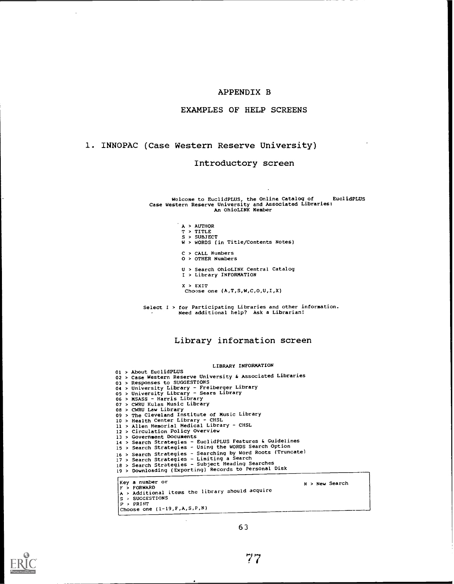### APPENDIX B

### EXAMPLES OF HELP SCREENS

### 1. INNOPAC (Case Western Reserve University)

### Introductory screen

Welcome to EuclidPLUS, the Online Catalog of EuclidpLUS Case Western Reserve University and Associated Libraries: An OhioLINK Member

- 
- 
- A > AUTHOR<br>T > TITLE<br>S > SUBJECT<br>W > WORDS (in Title/Contents Notes)
- 
- C > CALL Numbers O > OTHER Numbers
- U > Search OhioLINK Central Catalog <sup>I</sup> > Library INFORMATION
- 
- $X > EXIT$ <br>Choose one  $(A, T, S, W, C, 0, U, I, X)$
- Select I > for Participating Libraries and other information. Need additional help? Ask a Librarian!

### Library information screen

### LIBRARY INFORMATION

|  | ---------------                                             |
|--|-------------------------------------------------------------|
|  | 01 > About EuclidPLUS                                       |
|  | 02 > Case Western Reserve University & Associated Libraries |
|  | 03 > Responses to SUGGESTIONS                               |
|  | 04 > University Library - Freiberger Library                |
|  | 05 > University Library - Sears Library                     |
|  | 06 > MSASS - Harris Library                                 |
|  | 07 > CWRU Kulas Music Library                               |
|  | 08 > CWRU Law Library                                       |
|  | 09 > The Cleveland Institute of Music Library               |
|  | 10 > Health Center Library - CHSL                           |
|  | 11 > Allen Memorial Medical Library - CHSL                  |
|  | 12 > Circulation Policy Overview                            |
|  | 13 > Government Documents                                   |
|  | 14 > Search Strategies - EuclidPLUS Features & Guidelines   |
|  | 15 > Search Strategies - Using the WORDS Search Option      |
|  | 16 > Search Strategies - Searching by Word Roots (Truncate) |
|  | 17 > Search Strategies - Limiting a Search                  |
|  | 18 > Search Strategies - Subject Heading Searches           |
|  | 19 > Downloading (Exporting) Records to Personal Disk       |
|  |                                                             |
|  | Key a number or<br>N > New Search                           |
|  | F > FORMARD                                                 |
|  | A > Additional items the library should acquire             |
|  | S > SUGGESTIONS                                             |
|  | $P \rightarrow PRIMT$                                       |
|  | Choose one $(1-19, F, A, S, P, N)$                          |
|  |                                                             |



63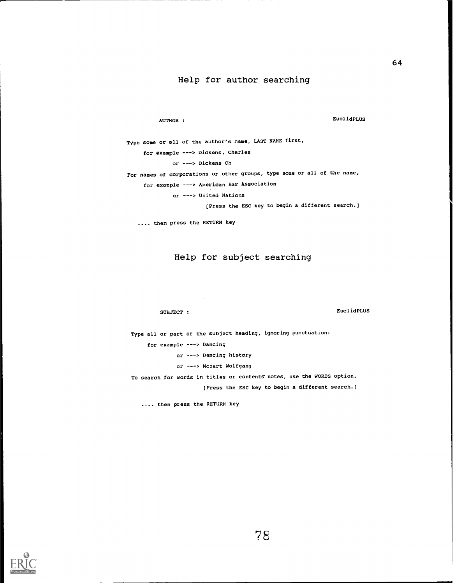### Help for author searching

AUTHOR : EUCLIdPLUS

Type some or all of the author's name, LAST NAME first, for example ---> Dickens, Charles or ---> Dickens Ch For names of corporations or other groups, type some or all of the name, for example ---> American Bar Association or ---> United Nations

[Press the ESC key to begin a different search.)

.... then press the RETURN key

### Help for subject searching

SUBJECT : EuclidPLUS

Type all or part of the subject heading, ignoring punctuation: for example ---> Dancing or ---> Dancing history or ---> Mozart Wolfgang To search for words in titles or contents notes, use the WORDS option. [Press the ESC key to begin a different search.]

.... then press the RETURN key

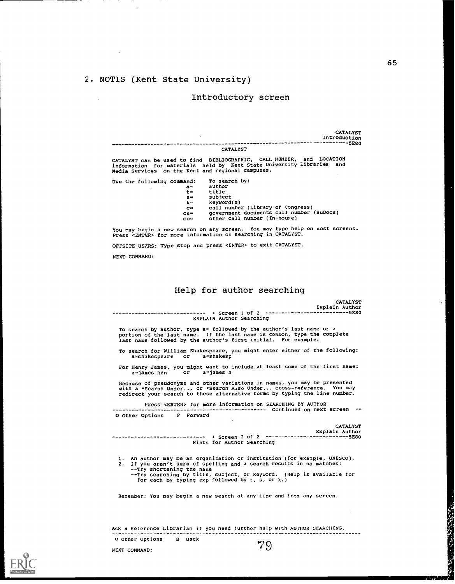### 2. NOTIS (Kent State University)

### Introductory screen

CATALYST CATALYST Introduction 5E80

CATALYST can be used to find BIBLIOGRAPHIC, CALL NUMBER, and LOCATION information for materials held by Kent State University Libraries and media Services on the Kent and regional campuses.

Use the following command: To search by:

| -- | ------ |
|----|--------|
| t≃ | title  |
|    |        |

- 
- s= subject<br>k= keyword(s)
	-
- k= keyword(s)<br>c≈ call number (Library of Congress)<br>cs= government documents call number (SuDocs)

co= other call number (In-houre)

You may begin a new search on any screen. You may type help on most screens. Press <ENTUR> for more information on searching in CATALYST.

OFFSITE USERS: Type stop and press <ENTER> to exit CATALYST.

NEXT COMMAND:

### Help for author searching

+ Screen 1 of 2 5E80 EXPLAIN Author Searching **CATALYST** Explain Author To search by author, type a= followed by the author's last name or a portion of the last name. If the last name is common, type the complete last name followed by the author's first initial. For example: To search for William Shakespeare, you might enter either of the following: a=shakespeare or a=shakesp For Henry James, you might want to include at least some of the first name: a=james hen or a=james h Because of pseudonyms and other variations in names, you may be presented<br>with a \*Search Under... or \*Search A.so Under... cross-reference. You may<br>redirect your search to these alternative forms by typing the line number Press <ENTER> for more information on SEARCHING BY AUTHOR. Continued on next screen -- O Other Options F Forward + Screen 2 of 2 Hints for Author Searching CATALYST Explain Author 5E80 1. An author may be an organization or institution (for example, UNESCO). 2. If you aren't sure of spelling and a search results in no matches: --Try shortening the name - -Try searching by title, subject, or keyword. (Help is available for for each by typing exp followed by t, s, or k.) Remember: You may begin a new search at any time and from any screen.

Ask a Reference Librarian if you need further help with AUTHOR SEARCHING. O Other Options B Back 79

NEXT COMMAND:

65

(の)の人の方に あん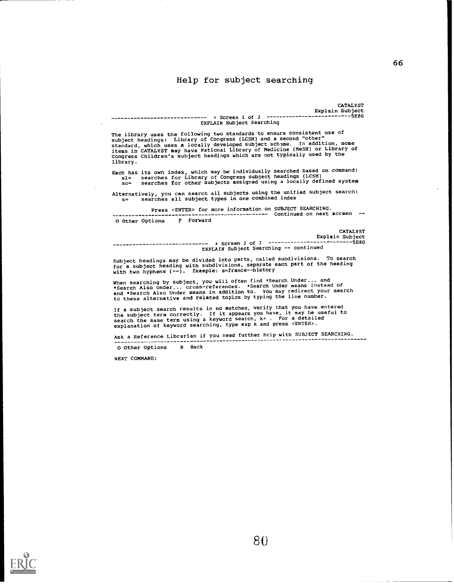### Help for subject searching

CATALYST Explain Subject + Screen 1 of 2 5E80 -----------------------------EXPLAIN Subject Searching The library uses the following two standards to ensure consistent use of subject headings: Library of Congress (LCSH) and a second "other"<br>standard, which uses a locally developed subject scheme. In addition, some<br>items in CATALYST may have National Library of Medicine (MeSH) or Library of Each has its own index, which may be individually searched based on command: sl= searches for Library of Congress subject headings (LCSH) so= searches for other subjects assigned using a locally defined system Alternatively, you can search all subjects using the unified subject search:<br>s= searches all subject types in one combined index Press <ENTER> for more information on SUBJECT SEARCHING. 0 Other Options F Forward + Screen 2 of 2 CATALYST Explain Subject -------------5E80 EXPLAIN Subject Searching -- continued Subject headings may be divided into parts, called subdivisions. To search for a subject heading with subdivisions, separate each part of the heading with two hyphens (--). Example: s=france--history

If a subject search results in no matches, verify that you have entered the subject term correctly. If it appears you have, it may be useful to search the same term using a keyword search, k= . For a detailed

Ask a Reference Librarian if you need further help with SUBJECT SEARCHING.

0 Other Options B Back

NEXT COMMAND:



Congress Children's subject headings which are not typically used by the library.

Continued on next screen --

When searching by subject, you will often find \*Search Under... and<br>\*Search Also Under... cross-references. \*Search Under means instead of<br>and \*Search Also Under means in addition to. You may redirect your search<br>to these

explanation of keyword searching, type exp k and press <ENTER>.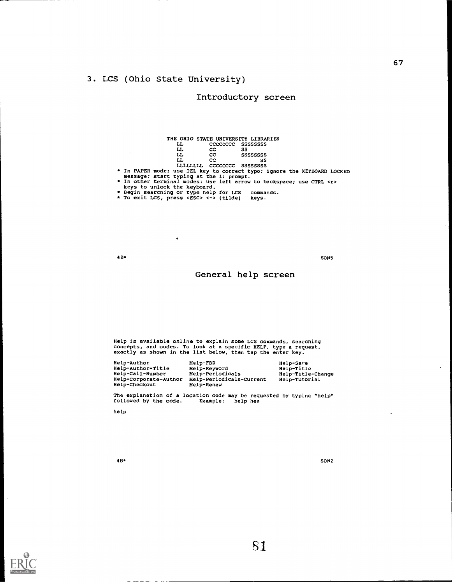# 3. LCS (Ohio State University)

# Introductory screen

|                                         | THE OHIO STATE UNIVERSITY LIBRARIES |                                                                          |  |
|-----------------------------------------|-------------------------------------|--------------------------------------------------------------------------|--|
| LL                                      |                                     | CCCCCCCC SSSSSSSS                                                        |  |
| LL                                      | cc.                                 | SS                                                                       |  |
| LL                                      | cc.                                 | SSSSSSSS                                                                 |  |
| LL                                      | cc                                  | SS                                                                       |  |
|                                         | LILLLILLL CCCCCCCC SSSSSSSS         |                                                                          |  |
|                                         |                                     | * In PAPER mode: use DEL key to correct typo; ignore the KEYBOARD LOCKED |  |
| message; start typing at the 1: prompt. |                                     |                                                                          |  |
|                                         |                                     | * In other terminal modes: use left arrow to backspace; use CTRL <r></r> |  |
| keys to unlock the keyboard.            |                                     |                                                                          |  |
| ∗ Begin searching or type help for LCS  |                                     | commands.                                                                |  |
| a ma anis yan concer innan a correspon  |                                     |                                                                          |  |

To exit LCS, press <ESC> <->> (tilde) keys.

 $\bullet$ 

4B\* SONS

### General help screen

Help is available online to explain some LCS commands, searching concepts, and codes. To look at a specific HELP, type a request, exactly as shown in the list below, then tap the enter key.

| Help-Author           | Help-FBR                 | Help-Save         |
|-----------------------|--------------------------|-------------------|
| Help-Author-Title     | Help-Keyword             | Help-Title        |
| Help-Call-Number      | Help-Periodicals         | Help-Title-Change |
| Help-Corporate-Author | Help-Periodicals-Current | Help-Tutorial     |
| Help-Checkout         | Help-Renew               |                   |

The explanation of a location code may be requested by typing "help" followed by the code. Example: help hea

help

 $4B*$ 

SON2



 $\ddot{\phantom{a}}$ 

81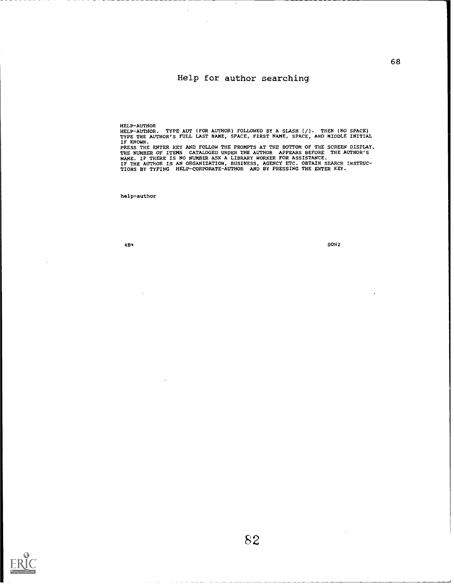# Help for author searching

HELP-AUTHOR<br>HELP-AUTHOR. TYPE AUT (FOR AUTHOR) FOLLOWED BY A SLASH (/). THEN (NO SPACE)<br>TYPE THE AUTHOR'S FULL LAST NAME, SPACE, FIRST NAME, SPACE, AND MIDDLE INITIAL IF KNOWN.<br>PRESS THE ENTER KEY AND FOLLOW THE PROMPTS AT THE BOTTOM OF THE SCREEN DISPLAY.

THE NUMBER OF ITEMS CATALOGED UNDER THE AUTHOR APPEARS BEFORE THE AUTHOR'S<br>NAME. IF THERE IS NO NUMBER ASK A LIBRARY WORKER FOR ASSISTANCE.<br>IF THE AUTHOR IS AN ORGANIZATION, BUSINESS, AGENCY ETC. OBTAIN SEARCH INSTRUC-<br>TIO

help-author

4B\* SON2

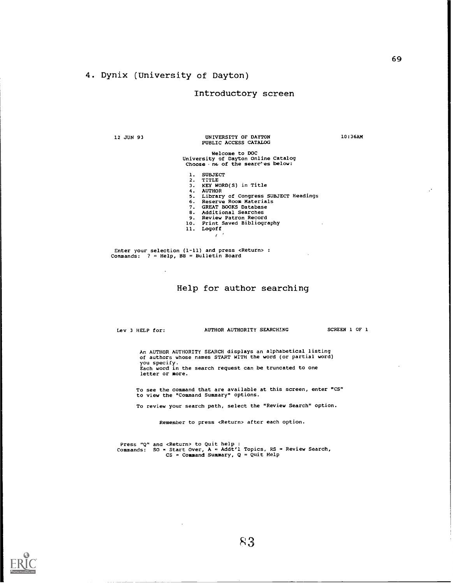# 4. Dynix (University of Dayton)

### Introductory screen

12 JUN 93

### UNIVERSITY OF DAYTON 10:36AM PUBLIC ACCESS CATALOG

# Welcome to DOC<br>University of Dayton Online Catalog<br>Choose .ne of the searches below:

- 
- 
- 
- 1. SUBJECT<br>2. TITLE<br>3. KEY WORD(S) in Title<br>4. AUTHOR<br>5. Library of Congress SUBJECT Headings<br>6. Reserve Room Materials<br>7. GREAT BOOKS Database
- 
- 
- 
- 
- 8. Additional Searches 9. Review Patron Record 10. Print Saved Bibliography 11. Logoff
	-

Enter your selection (1-11) and press <Return> : Commands: ? = Help, BB = Bulletin Board

### Help for author searching

Lev 3 HELP for:

AUTHOR AUTHORITY SEARCHING SCREEN 1 OF 1

An AUTHOR AUTHORITY SEARCH displays an alphabetical listing of authors whose names START WITH the word (or partial word) you specify. Each word in the search request can be truncated to one letter or more.

To see the command that are available at this screen, enter "CS" to view the "Command Summary" options.

To review your search path, select the "Review Search" option.

Remember to press <Return> after each option.

Press "Q" and <Return> to Quit help :<br>Commands: SO = Start Over, A = Addt'l Topics, RS = Review Search,<br>CS = Command Summary, Q = Quit Help



69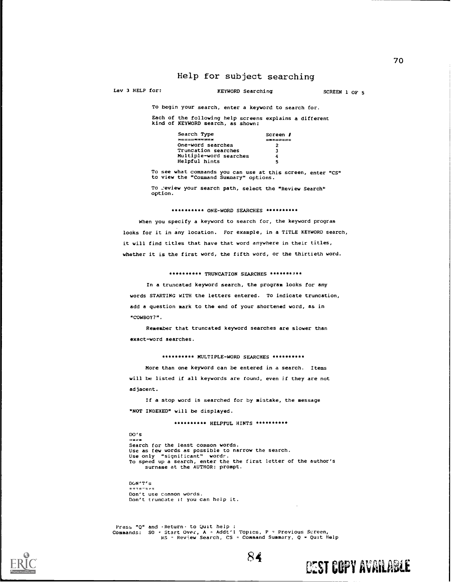# Help for subject searching

Lev 3 HELP for:

### KEYWORD Searching SCREEN 1 OF 5

To begin your search, enter a keyword to search for.

Each of the following help screens explains a different kind of KEYWORD search, as shown:

| Search Type            | Screen <i>I</i> |
|------------------------|-----------------|
| <b>***********</b>     | -------         |
| One-word searches      | 2               |
| Truncation searches    | 3               |
| Multiple-word searches | 4               |
| Helpful hints          | 5               |

To see what commands you can use at this screen, enter "CS" to view the "Command Summary" options.

To .: eview your search path, select the "Review Search" option.

### \*\*\*\*\*\*\*\*\*\* ONE-WORD SEARCHES \*\*\*\*\*\*\*\*\*\*

When you specify a keyword to search for, the keyword program looks for it in any location. For example, in a TITLE KEYWORD search, it will find titles that have that word anywhere in their titles, whether it is the first word, the fifth word, or the thirtieth word.

### \*\*\*\*\*\*\*\*\*\* TRUNCATION SEARCHES \*\*\*\*\*\*\*\*\*\*

In a truncated keyword search, the program looks for any words STARTING WITH the letters entered. To indicate truncation, add a question mark to the end of your shortened word, as in "COWBOY?".

Remember that truncated keyword searches are slower than exact-word searches.

\*\*\*\*\*\*\*\*\*\* HULTIPLE-WORD SEARCHES \*\*\*\*\*\*\*\*\*\*

More than one keyword can be entered in a search. Items will be listed if all keywords are found, even if they are not adjacent.

If a stop word is searched for by mistake, the message "NOT INDEXED" will be displayed.

\*\*\*\*\*\*\*\*\*\* HELPFUL HINTS \*\*\*\*\*\*\*\*\*\*\*

DO's Search for the least common words. Use as few words as possible to narrow the search. Use only "significant" wordr.<br>To speed up a search, enter the the first letter of the author's<br>surname at the AUTHOR: prompt.

DON'T's Don't use common words. Don't truncate If you can help it.

Press "Q" and 'Return' to Quit help :<br>Commands: SO = Start Over, A = Addt'l Topics, P = Provious Screen,<br>RS - Review Search, CS = Command Summary, Q = Quit Help

84

**CEST COPY AVAILABLE** 

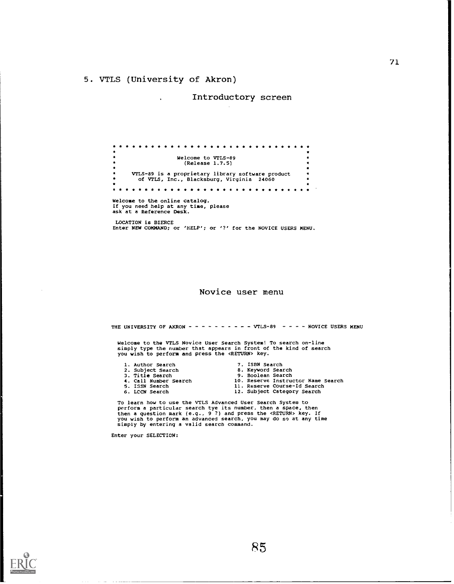### 5. VTLS (University of Akron)

 $\ddot{\phantom{a}}$ 

Introductory screen

Welcome to VTLS-89  $\bullet$  $\ddot{\phantom{0}}$  $\bullet$ (Release 1.7.5)  $\ddot{\bullet}$ VTLS-89 is a proprietary library software product of VTLS, Inc., Blacksburg, Virginia 24060  $\bullet$ Welcome to the online catalog. If you need help at any time, please ask at a Reference Desk. LOCATION is BIERCE Enter NEW COMMAND; or 'HELP': or '?' for the NOVICE USERS MENU.

Novice user menu

THE UNIVERSITY OF AKRON  $- - - - - - - - - - -$  VTLS-89 - - - - NOVICE USERS MENU

Welcome to the VTLS Novice User Search System! To search on-line simply type the number that appears in front of the kind of search you wish to perform and press the <RETURN> key.

- 
- 1. Author Search<br>2. Subject Search
- 
- 
- 
- 
- 7. ISBN Search
- 2. Subject Search 8. Keyword Search<br>
3. Title Search 9. Boolean Search
- 3. Title Search 9. Boolean Search 4. Call Number Search 10. Reserve Instructor Name Search
- 4. Call Number Search 10. Reserve Instructor Name 1<br>5. ISSN Search 11. Reserve Course-Id Search<br>6. LCCN Search 12. Subject Category Search
	- 12. Subject Category Search

To learn how to use the VTLS Advanced User Search System to<br>perform a particular search tye its number, then a space, then<br>then a question mark (e.g., 9 ?) and press the <RETURN> key. If<br>you wish to perform an advanced sea simply by entering a valid search command.

Enter your SELECTION:

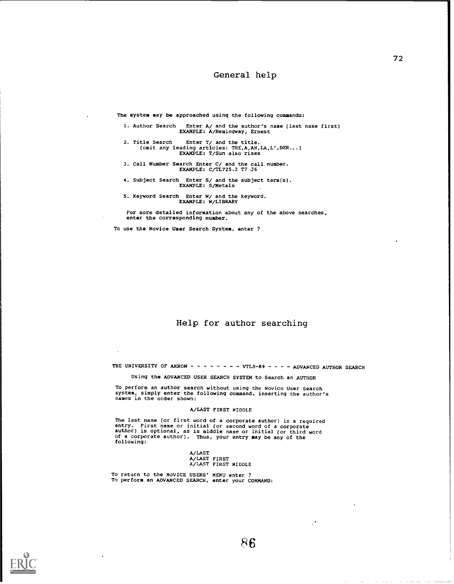### General help

The system may be approached using the following commands:

1. Author Search Enter A/ and the author's name (last name first) EXAMPLE: A/Hemingway, Ernest

2. Title Search Enter T/ and the title. (omit any leading articles: THE,A,AN,LA,L',DER...) EXAMPLE: T/Sun also rises

- 3. call Number Search Enter C/ and the call number. EXAMPLE: C/TL725.3 T7 J6
- 4. Subject Search Enter S/ and the subject term(s). EXAMPLE: S/Metals
- 5. Keyword Search Enter W/ and the keyword. EXAMPLE: W/LIBRARY

For more detailed information about any of the above searches, enter the corresponding number.

To use the Novice User Search System, enter ?

# Help for author searching

THE UNIVERSITY OF AKRON  $\sim$  - - - - - - - VTLS-89 - - - - ADVANCED AUTHOR SEARCH

Using the ADVANCED USER SEARCH SYSTEM to Search an AUTHOR

To perform an author search without using the Novice User Search system, simply enter the following command, inserting the author's names in the order shown:

### A/LAST FIRST MIDDLE

The last name (or first word of a corporate author) is a required entry. First name or initial (or second word of a corporate author) is optional, as is middle name or initial (or third word of a corporate author). Thus, your entry may be any of the following:

A/LAST A/LAST FIRST A/LAST FIRST MIDDLE

To return to the NOVICE USERS' MENU enter ? To perform an ADVANCED SEARCH, enter your COMMAND:



 $\cdot$ 

72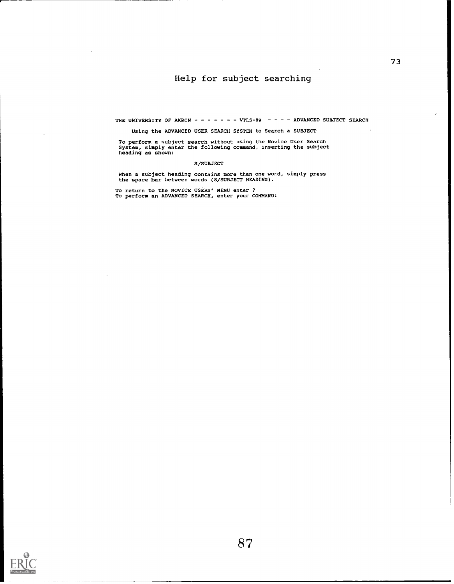# Help for subject searching

THE UNIVERSITY OF AKRON - - - - - - - VTLS-89 - - - - ADVANCED SUBJECT SEARCH

### Using the ADVANCED USER SEARCH SYSTEM to Search a SUBJECT

To perform a subject search without using the Novice User Search System, simply enter the following command, inserting the subject heading as shown:

### S/SUBJECT

When a subject heading contains more than one word, simply press the space bar between words (S/SUBJECT HEADING).

To return to the NOVICE USERS' MENU enter ? To perform an ADVANCED SEARCH, enter your COMMAND:

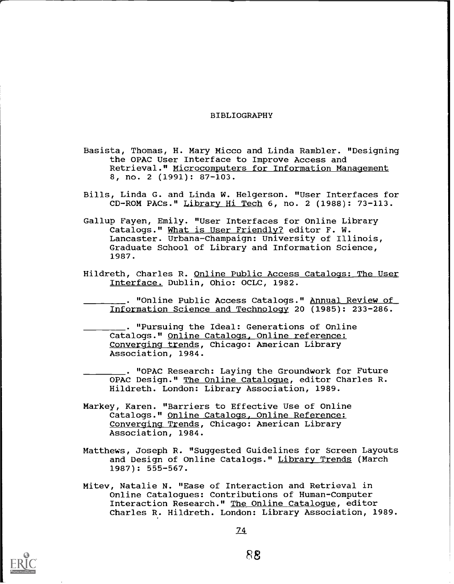### BIBLIOGRAPHY

- Basista, Thomas, H. Mary Micco and Linda Rambler. "Designing the OPAC User Interface to Improve Access and Retrieval." Microcomputers for Information Management 8, no. 2 (1991): 87-103.
- Bills, Linda G. and Linda W. Helgerson. "User Interfaces for CD-ROM PACs." Library Hi Tech 6, no. 2 (1988): 73-113.
- Gallup Fayen, Emily. "User Interfaces for Online Library Catalogs." What is User Friendly? editor F. W. Lancaster. Urbana-Champaign: University of Illinois, Graduate School of Library and Information Science, 1987.
- Hildreth, Charles R. Online Public Access Catalogs: The User Interface. Dublin, Ohio: OCLC, 1982.

. "Online Public Access Catalogs." Annual Review of Information Science and Technology 20 (1985): 233-286.

. "Pursuing the Ideal: Generations of Online Catalogs." Online Catalogs, Online reference: Converging trends, Chicago: American Library Association, 1984.

. "OPAC Research: Laying the Groundwork for Future OPAC Design." The Online Catalogue, editor Charles R. Hildreth. London: Library Association, 1989.

- Markey, Karen. "Barriers to Effective Use of Online Catalogs." Online Catalogs, Online Reference: Converging Trends, Chicago: American Library Association, 1984.
- Matthews, Joseph R. "Suggested Guidelines for Screen Layouts and Design of Online Catalogs." Library Trends (March 1987): 555-567.
- Mitev, Natalie N. "Ease of Interaction and Retrieval in Online Catalogues: Contributions of Human-Computer Interaction Research." The Online Catalogue, editor Charles R. Hildreth. London: Library Association, 1989.